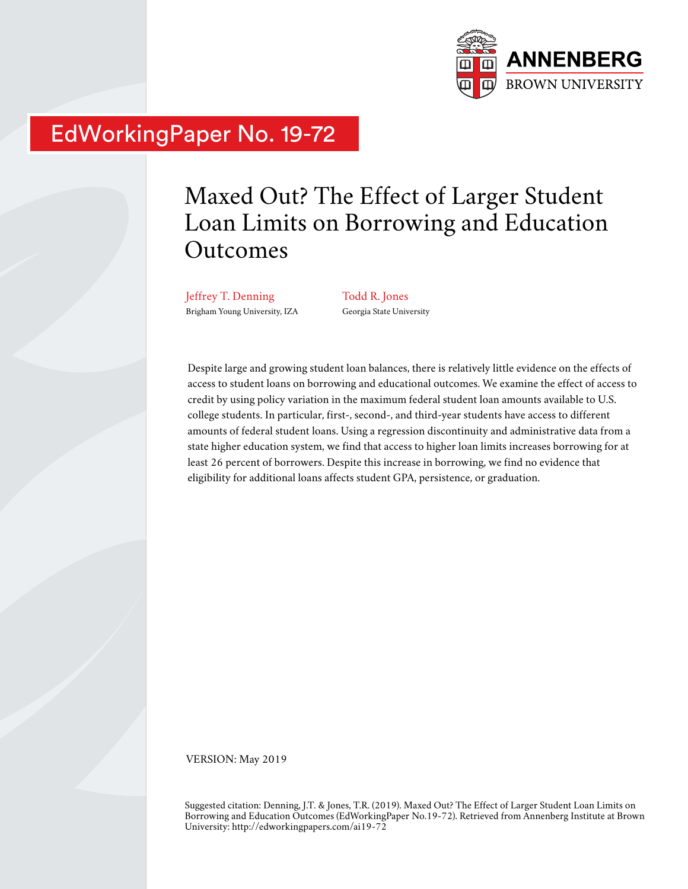

# EdWorkingPaper No. 19-72

# Maxed Out? The Effect of Larger Student Loan Limits on Borrowing and Education Outcomes

Jeffrey T. Denning Brigham Young University, IZA Todd R. Jones Georgia State University

Despite large and growing student loan balances, there is relatively little evidence on the effects of access to student loans on borrowing and educational outcomes. We examine the effect of access to credit by using policy variation in the maximum federal student loan amounts available to U.S. college students. In particular, first-, second-, and third-year students have access to different amounts of federal student loans. Using a regression discontinuity and administrative data from a state higher education system, we find that access to higher loan limits increases borrowing for at least 26 percent of borrowers. Despite this increase in borrowing, we find no evidence that eligibility for additional loans affects student GPA, persistence, or graduation.

VERSION: May 2019

Suggested citation: Denning, J.T. & Jones, T.R. (2019). Maxed Out? The Effect of Larger Student Loan Limits on Borrowing and Education Outcomes (EdWorkingPaper No.19-72). Retrieved from Annenberg Institute at Brown University: http://edworkingpapers.com/ai19-72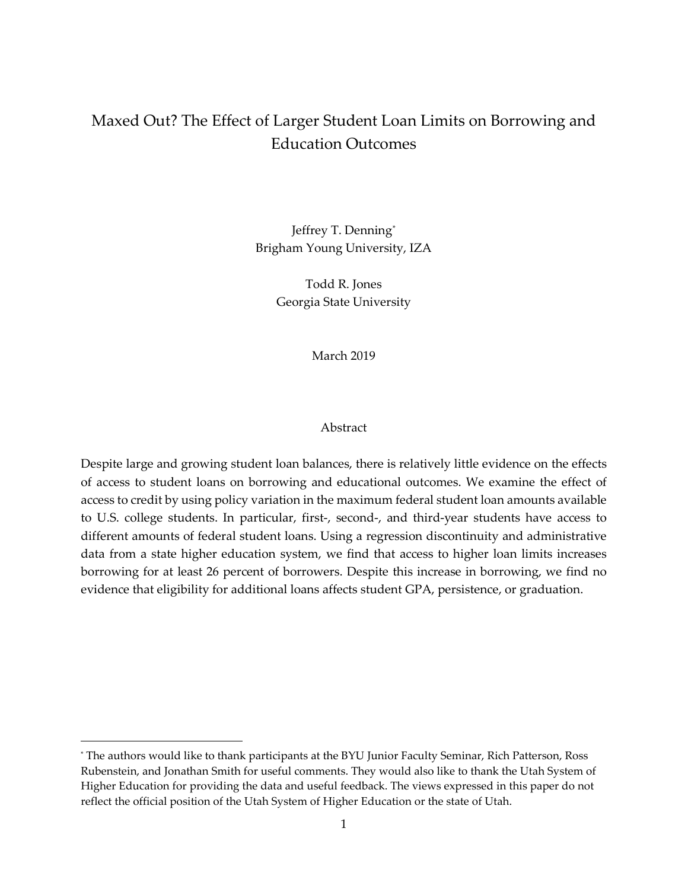# Maxed Out? The Effect of Larger Student Loan Limits on Borrowing and Education Outcomes

Jeffrey T. Denning[\\*](#page-1-0) Brigham Young University, IZA

> Todd R. Jones Georgia State University

> > March 2019

#### Abstract

Despite large and growing student loan balances, there is relatively little evidence on the effects of access to student loans on borrowing and educational outcomes. We examine the effect of access to credit by using policy variation in the maximum federal student loan amounts available to U.S. college students. In particular, first-, second-, and third-year students have access to different amounts of federal student loans. Using a regression discontinuity and administrative data from a state higher education system, we find that access to higher loan limits increases borrowing for at least 26 percent of borrowers. Despite this increase in borrowing, we find no evidence that eligibility for additional loans affects student GPA, persistence, or graduation.

 $\overline{a}$ 

<span id="page-1-0"></span><sup>\*</sup> The authors would like to thank participants at the BYU Junior Faculty Seminar, Rich Patterson, Ross Rubenstein, and Jonathan Smith for useful comments. They would also like to thank the Utah System of Higher Education for providing the data and useful feedback. The views expressed in this paper do not reflect the official position of the Utah System of Higher Education or the state of Utah.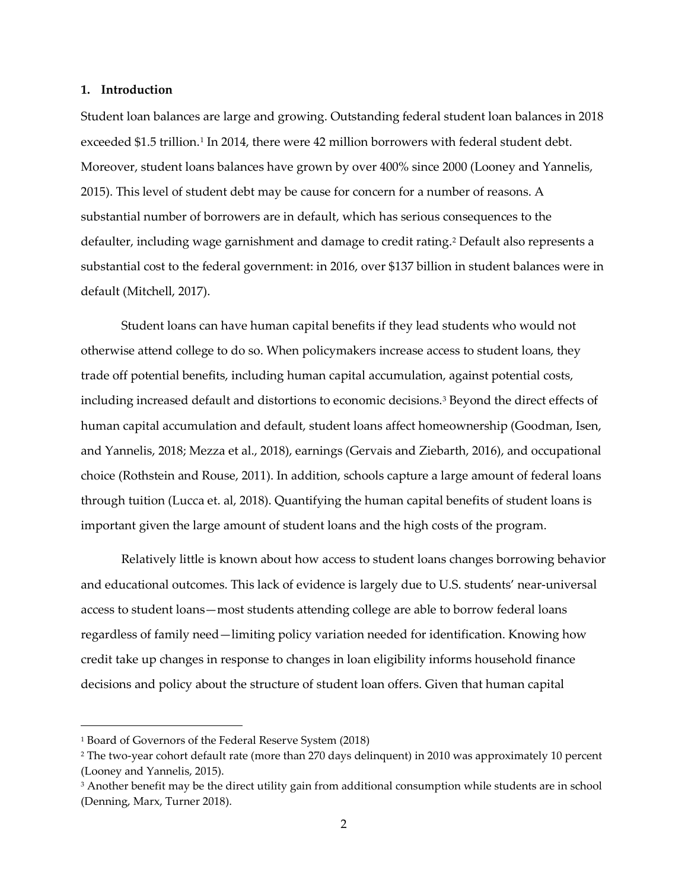#### **1. Introduction**

Student loan balances are large and growing. Outstanding federal student loan balances in 2018 exceeded \$[1](#page-2-0).5 trillion.<sup>1</sup> In 2014, there were 42 million borrowers with federal student debt. Moreover, student loans balances have grown by over 400% since 2000 (Looney and Yannelis, 2015). This level of student debt may be cause for concern for a number of reasons. A substantial number of borrowers are in default, which has serious consequences to the defaulter, including wage garnishment and damage to credit rating.[2](#page-2-1) Default also represents a substantial cost to the federal government: in 2016, over \$137 billion in student balances were in default (Mitchell, 2017).

Student loans can have human capital benefits if they lead students who would not otherwise attend college to do so. When policymakers increase access to student loans, they trade off potential benefits, including human capital accumulation, against potential costs, including increased default and distortions to economic decisions.<sup>[3](#page-2-2)</sup> Beyond the direct effects of human capital accumulation and default, student loans affect homeownership (Goodman, Isen, and Yannelis, 2018; Mezza et al., 2018), earnings (Gervais and Ziebarth, 2016), and occupational choice (Rothstein and Rouse, 2011). In addition, schools capture a large amount of federal loans through tuition (Lucca et. al, 2018). Quantifying the human capital benefits of student loans is important given the large amount of student loans and the high costs of the program.

Relatively little is known about how access to student loans changes borrowing behavior and educational outcomes. This lack of evidence is largely due to U.S. students' near-universal access to student loans—most students attending college are able to borrow federal loans regardless of family need—limiting policy variation needed for identification. Knowing how credit take up changes in response to changes in loan eligibility informs household finance decisions and policy about the structure of student loan offers. Given that human capital

l

<span id="page-2-0"></span><sup>1</sup> Board of Governors of the Federal Reserve System (2018)

<span id="page-2-1"></span><sup>2</sup> The two-year cohort default rate (more than 270 days delinquent) in 2010 was approximately 10 percent (Looney and Yannelis, 2015).

<span id="page-2-2"></span><sup>&</sup>lt;sup>3</sup> Another benefit may be the direct utility gain from additional consumption while students are in school (Denning, Marx, Turner 2018).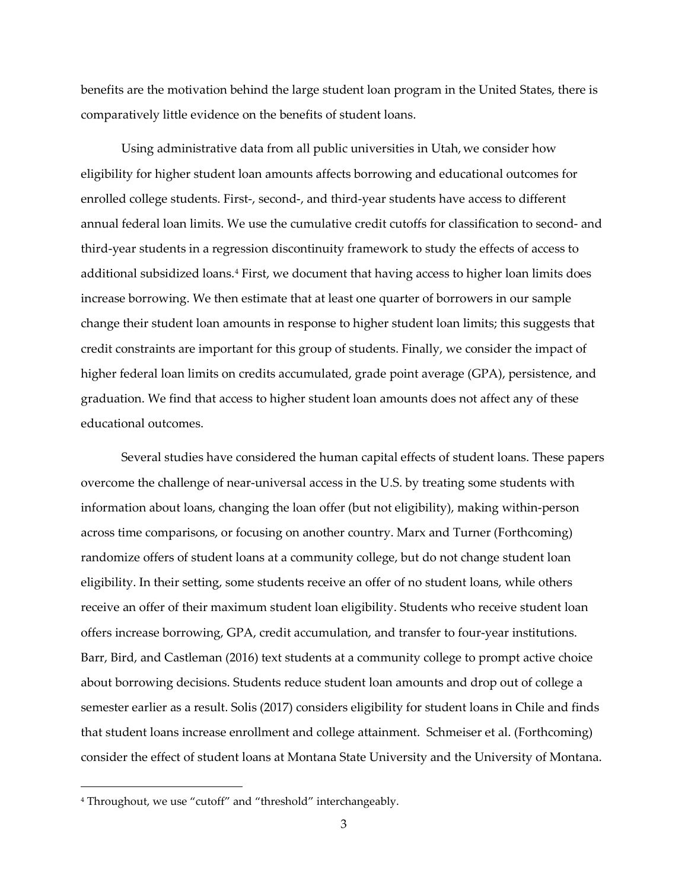benefits are the motivation behind the large student loan program in the United States, there is comparatively little evidence on the benefits of student loans.

Using administrative data from all public universities in Utah, we consider how eligibility for higher student loan amounts affects borrowing and educational outcomes for enrolled college students. First-, second-, and third-year students have access to different annual federal loan limits. We use the cumulative credit cutoffs for classification to second- and third-year students in a regression discontinuity framework to study the effects of access to additional subsidized loans.[4](#page-3-0) First, we document that having access to higher loan limits does increase borrowing. We then estimate that at least one quarter of borrowers in our sample change their student loan amounts in response to higher student loan limits; this suggests that credit constraints are important for this group of students. Finally, we consider the impact of higher federal loan limits on credits accumulated, grade point average (GPA), persistence, and graduation. We find that access to higher student loan amounts does not affect any of these educational outcomes.

Several studies have considered the human capital effects of student loans. These papers overcome the challenge of near-universal access in the U.S. by treating some students with information about loans, changing the loan offer (but not eligibility), making within-person across time comparisons, or focusing on another country. Marx and Turner (Forthcoming) randomize offers of student loans at a community college, but do not change student loan eligibility. In their setting, some students receive an offer of no student loans, while others receive an offer of their maximum student loan eligibility. Students who receive student loan offers increase borrowing, GPA, credit accumulation, and transfer to four-year institutions. Barr, Bird, and Castleman (2016) text students at a community college to prompt active choice about borrowing decisions. Students reduce student loan amounts and drop out of college a semester earlier as a result. Solis (2017) considers eligibility for student loans in Chile and finds that student loans increase enrollment and college attainment. Schmeiser et al. (Forthcoming) consider the effect of student loans at Montana State University and the University of Montana.

l

<span id="page-3-0"></span><sup>4</sup> Throughout, we use "cutoff" and "threshold" interchangeably.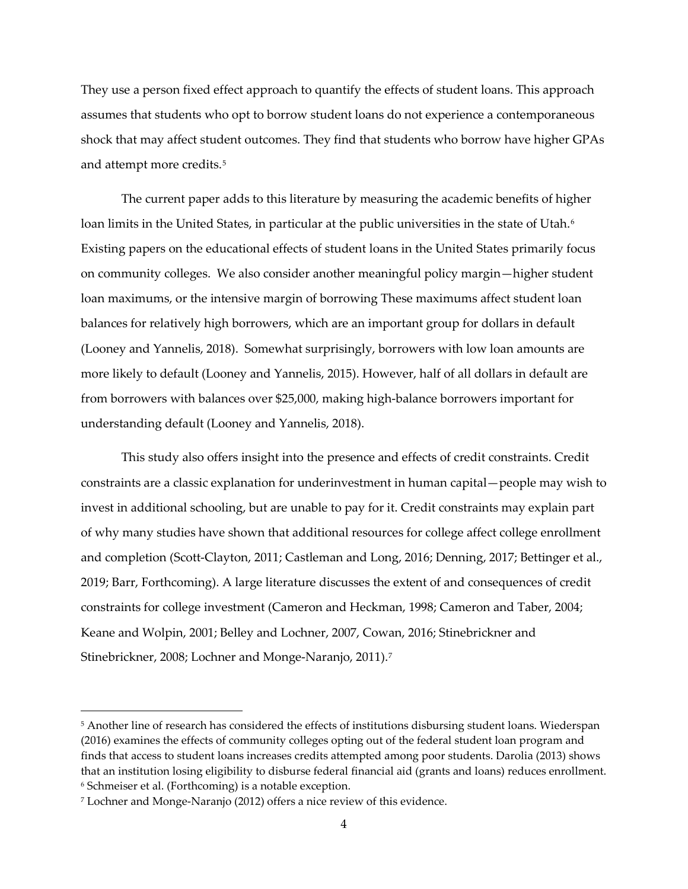They use a person fixed effect approach to quantify the effects of student loans. This approach assumes that students who opt to borrow student loans do not experience a contemporaneous shock that may affect student outcomes. They find that students who borrow have higher GPAs and attempt more credits.<sup>[5](#page-4-0)</sup>

The current paper adds to this literature by measuring the academic benefits of higher loan limits in the United States, in particular at the public universities in the state of Utah.<sup>[6](#page-4-1)</sup> Existing papers on the educational effects of student loans in the United States primarily focus on community colleges. We also consider another meaningful policy margin—higher student loan maximums, or the intensive margin of borrowing These maximums affect student loan balances for relatively high borrowers, which are an important group for dollars in default (Looney and Yannelis, 2018). Somewhat surprisingly, borrowers with low loan amounts are more likely to default (Looney and Yannelis, 2015). However, half of all dollars in default are from borrowers with balances over \$25,000, making high-balance borrowers important for understanding default (Looney and Yannelis, 2018).

This study also offers insight into the presence and effects of credit constraints. Credit constraints are a classic explanation for underinvestment in human capital—people may wish to invest in additional schooling, but are unable to pay for it. Credit constraints may explain part of why many studies have shown that additional resources for college affect college enrollment and completion (Scott-Clayton, 2011; Castleman and Long, 2016; Denning, 2017; Bettinger et al., 2019; Barr, Forthcoming). A large literature discusses the extent of and consequences of credit constraints for college investment (Cameron and Heckman, 1998; Cameron and Taber, 2004; Keane and Wolpin, 2001; Belley and Lochner, 2007, Cowan, 2016; Stinebrickner and Stinebrickner, 2008; Lochner and Monge-Naranjo, 2011).<sup>[7](#page-4-2)</sup>

 $\overline{a}$ 

<span id="page-4-0"></span><sup>5</sup> Another line of research has considered the effects of institutions disbursing student loans. Wiederspan (2016) examines the effects of community colleges opting out of the federal student loan program and finds that access to student loans increases credits attempted among poor students. Darolia (2013) shows that an institution losing eligibility to disburse federal financial aid (grants and loans) reduces enrollment. <sup>6</sup> Schmeiser et al. (Forthcoming) is a notable exception.

<span id="page-4-2"></span><span id="page-4-1"></span><sup>7</sup> Lochner and Monge-Naranjo (2012) offers a nice review of this evidence.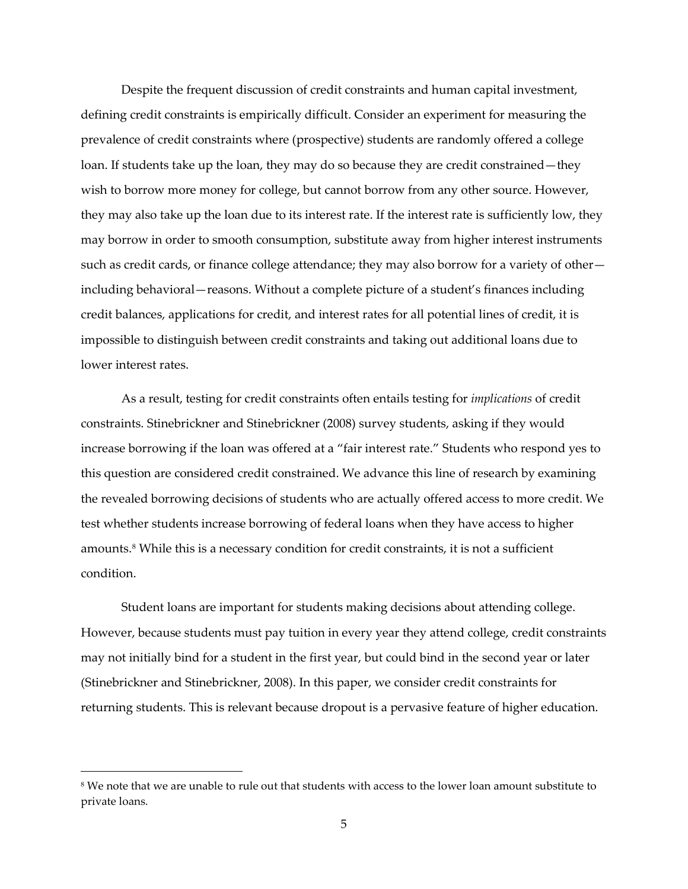Despite the frequent discussion of credit constraints and human capital investment, defining credit constraints is empirically difficult. Consider an experiment for measuring the prevalence of credit constraints where (prospective) students are randomly offered a college loan. If students take up the loan, they may do so because they are credit constrained—they wish to borrow more money for college, but cannot borrow from any other source. However, they may also take up the loan due to its interest rate. If the interest rate is sufficiently low, they may borrow in order to smooth consumption, substitute away from higher interest instruments such as credit cards, or finance college attendance; they may also borrow for a variety of other including behavioral—reasons. Without a complete picture of a student's finances including credit balances, applications for credit, and interest rates for all potential lines of credit, it is impossible to distinguish between credit constraints and taking out additional loans due to lower interest rates.

As a result, testing for credit constraints often entails testing for *implications* of credit constraints. Stinebrickner and Stinebrickner (2008) survey students, asking if they would increase borrowing if the loan was offered at a "fair interest rate." Students who respond yes to this question are considered credit constrained. We advance this line of research by examining the revealed borrowing decisions of students who are actually offered access to more credit. We test whether students increase borrowing of federal loans when they have access to higher amounts.[8](#page-5-0) While this is a necessary condition for credit constraints, it is not a sufficient condition.

Student loans are important for students making decisions about attending college. However, because students must pay tuition in every year they attend college, credit constraints may not initially bind for a student in the first year, but could bind in the second year or later (Stinebrickner and Stinebrickner, 2008). In this paper, we consider credit constraints for returning students. This is relevant because dropout is a pervasive feature of higher education.

 $\overline{a}$ 

<span id="page-5-0"></span><sup>&</sup>lt;sup>8</sup> We note that we are unable to rule out that students with access to the lower loan amount substitute to private loans.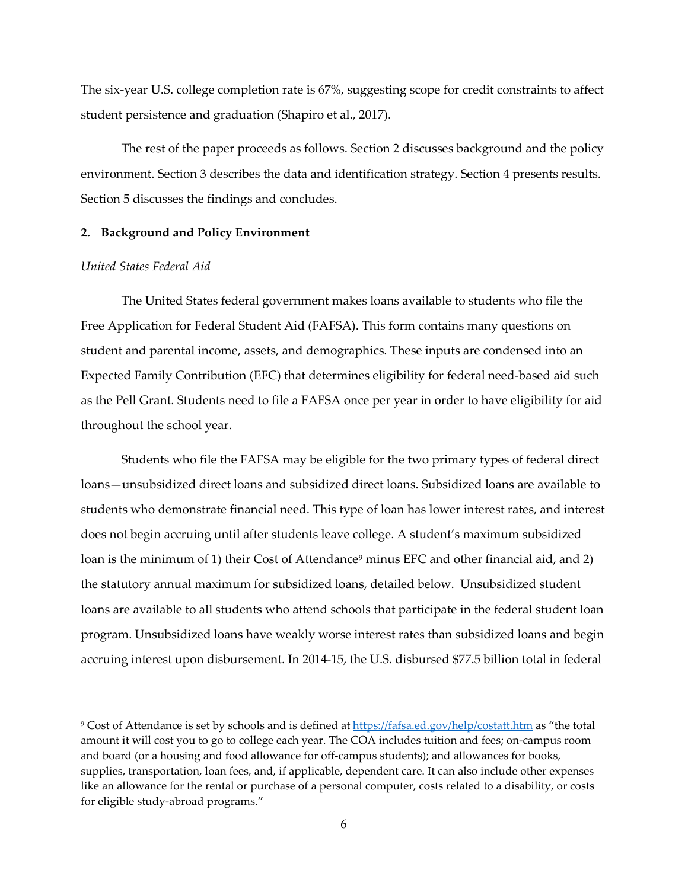The six-year U.S. college completion rate is 67%, suggesting scope for credit constraints to affect student persistence and graduation (Shapiro et al., 2017).

The rest of the paper proceeds as follows. Section 2 discusses background and the policy environment. Section 3 describes the data and identification strategy. Section 4 presents results. Section 5 discusses the findings and concludes.

#### **2. Background and Policy Environment**

#### *United States Federal Aid*

 $\overline{a}$ 

The United States federal government makes loans available to students who file the Free Application for Federal Student Aid (FAFSA). This form contains many questions on student and parental income, assets, and demographics. These inputs are condensed into an Expected Family Contribution (EFC) that determines eligibility for federal need-based aid such as the Pell Grant. Students need to file a FAFSA once per year in order to have eligibility for aid throughout the school year.

Students who file the FAFSA may be eligible for the two primary types of federal direct loans—unsubsidized direct loans and subsidized direct loans. Subsidized loans are available to students who demonstrate financial need. This type of loan has lower interest rates, and interest does not begin accruing until after students leave college. A student's maximum subsidized loan is the minimum of 1) their Cost of Attendance<sup>[9](#page-6-0)</sup> minus EFC and other financial aid, and 2) the statutory annual maximum for subsidized loans, detailed below. Unsubsidized student loans are available to all students who attend schools that participate in the federal student loan program. Unsubsidized loans have weakly worse interest rates than subsidized loans and begin accruing interest upon disbursement. In 2014-15, the U.S. disbursed \$77.5 billion total in federal

<span id="page-6-0"></span><sup>9</sup> Cost of Attendance is set by schools and is defined at<https://fafsa.ed.gov/help/costatt.htm> as "the total amount it will cost you to go to college each year. The COA includes tuition and fees; on-campus room and board (or a housing and food allowance for off-campus students); and allowances for books, supplies, transportation, loan fees, and, if applicable, dependent care. It can also include other expenses like an allowance for the rental or purchase of a personal computer, costs related to a disability, or costs for eligible study-abroad programs."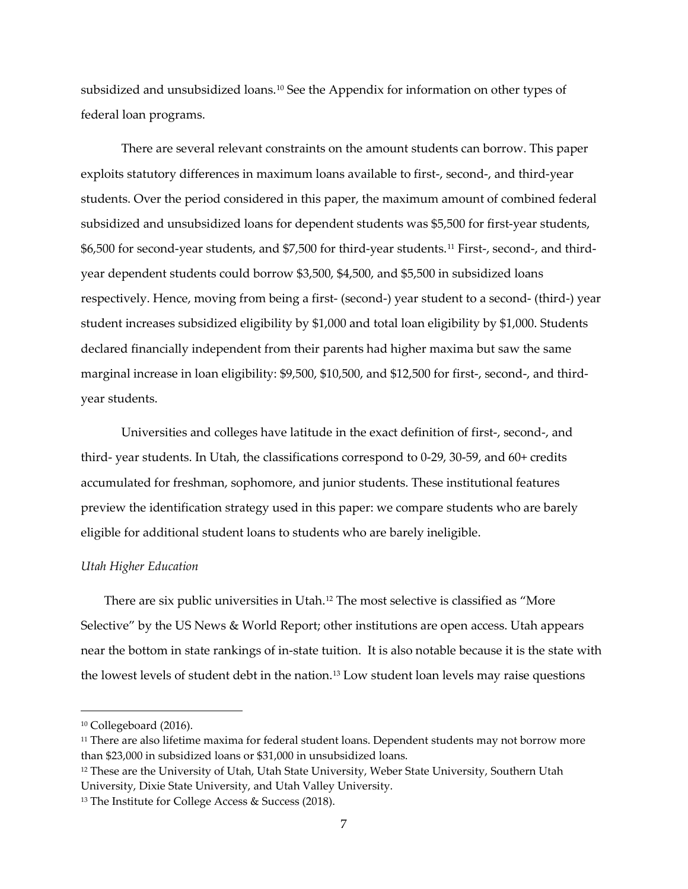subsidized and unsubsidized loans.[10](#page-7-0) See the Appendix for information on other types of federal loan programs.

There are several relevant constraints on the amount students can borrow. This paper exploits statutory differences in maximum loans available to first-, second-, and third-year students. Over the period considered in this paper, the maximum amount of combined federal subsidized and unsubsidized loans for dependent students was \$5,500 for first-year students, \$6,500 for second-year students, and \$7,500 for third-year students.[11](#page-7-1) First-, second-, and thirdyear dependent students could borrow \$3,500, \$4,500, and \$5,500 in subsidized loans respectively. Hence, moving from being a first- (second-) year student to a second- (third-) year student increases subsidized eligibility by \$1,000 and total loan eligibility by \$1,000. Students declared financially independent from their parents had higher maxima but saw the same marginal increase in loan eligibility: \$9,500, \$10,500, and \$12,500 for first-, second-, and thirdyear students.

Universities and colleges have latitude in the exact definition of first-, second-, and third- year students. In Utah, the classifications correspond to 0-29, 30-59, and 60+ credits accumulated for freshman, sophomore, and junior students. These institutional features preview the identification strategy used in this paper: we compare students who are barely eligible for additional student loans to students who are barely ineligible.

#### *Utah Higher Education*

There are six public universities in Utah.[12](#page-7-2) The most selective is classified as "More Selective" by the US News & World Report; other institutions are open access. Utah appears near the bottom in state rankings of in-state tuition. It is also notable because it is the state with the lowest levels of student debt in the nation[.13](#page-7-3) Low student loan levels may raise questions

 $\overline{a}$ 

<span id="page-7-0"></span><sup>10</sup> Collegeboard (2016).

<span id="page-7-1"></span><sup>&</sup>lt;sup>11</sup> There are also lifetime maxima for federal student loans. Dependent students may not borrow more than \$23,000 in subsidized loans or \$31,000 in unsubsidized loans.

<span id="page-7-2"></span><sup>&</sup>lt;sup>12</sup> These are the University of Utah, Utah State University, Weber State University, Southern Utah University, Dixie State University, and Utah Valley University.

<span id="page-7-3"></span><sup>13</sup> The Institute for College Access & Success (2018).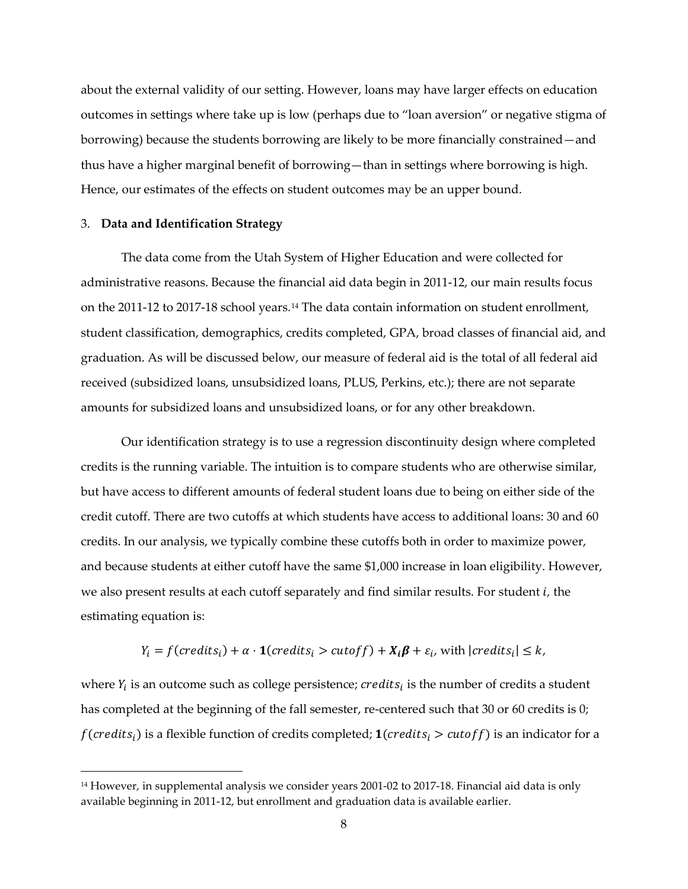about the external validity of our setting. However, loans may have larger effects on education outcomes in settings where take up is low (perhaps due to "loan aversion" or negative stigma of borrowing) because the students borrowing are likely to be more financially constrained—and thus have a higher marginal benefit of borrowing—than in settings where borrowing is high. Hence, our estimates of the effects on student outcomes may be an upper bound.

#### 3. **Data and Identification Strategy**

 $\overline{a}$ 

The data come from the Utah System of Higher Education and were collected for administrative reasons. Because the financial aid data begin in 2011-12, our main results focus on the 2011-12 to 2017-18 school years.<sup>[14](#page-8-0)</sup> The data contain information on student enrollment, student classification, demographics, credits completed, GPA, broad classes of financial aid, and graduation. As will be discussed below, our measure of federal aid is the total of all federal aid received (subsidized loans, unsubsidized loans, PLUS, Perkins, etc.); there are not separate amounts for subsidized loans and unsubsidized loans, or for any other breakdown.

Our identification strategy is to use a regression discontinuity design where completed credits is the running variable. The intuition is to compare students who are otherwise similar, but have access to different amounts of federal student loans due to being on either side of the credit cutoff. There are two cutoffs at which students have access to additional loans: 30 and 60 credits. In our analysis, we typically combine these cutoffs both in order to maximize power, and because students at either cutoff have the same \$1,000 increase in loan eligibility. However, we also present results at each cutoff separately and find similar results. For student *i*, the estimating equation is:

$$
Y_i = f(\text{credits}_i) + \alpha \cdot \mathbf{1}(\text{credits}_i > \text{cutoff}) + X_i \beta + \varepsilon_i, \text{ with } |\text{credits}_i| \le k,
$$

where  $Y_i$  is an outcome such as college persistence;  $c_{\text{redits}_i}$  is the number of credits a student has completed at the beginning of the fall semester, re-centered such that 30 or 60 credits is 0;  $f(credits_i)$  is a flexible function of credits completed;  $\mathbf{1}(credits_i > cutoff)$  is an indicator for a

<span id="page-8-0"></span><sup>&</sup>lt;sup>14</sup> However, in supplemental analysis we consider years 2001-02 to 2017-18. Financial aid data is only available beginning in 2011-12, but enrollment and graduation data is available earlier.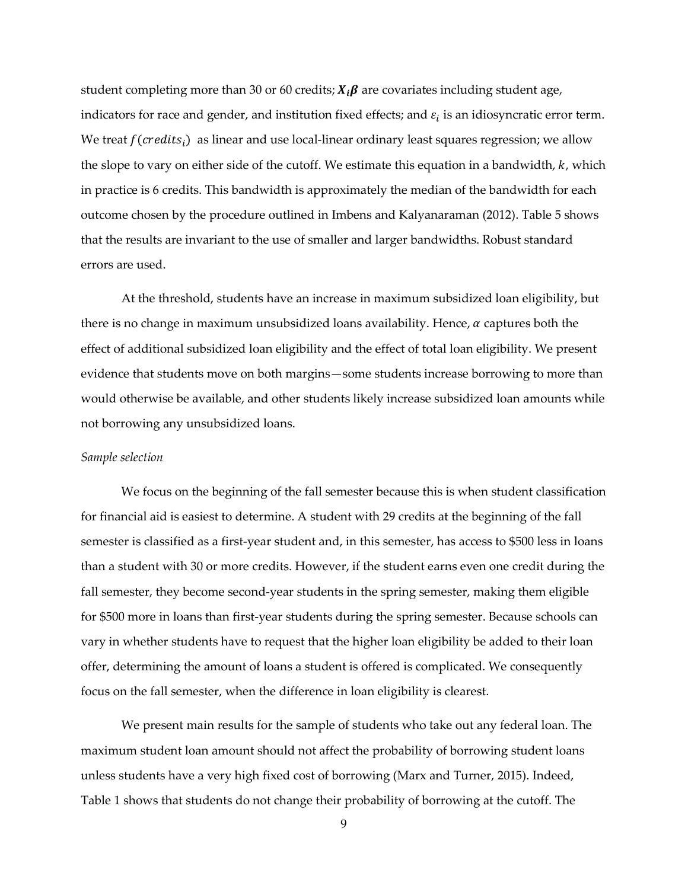student completing more than 30 or 60 credits;  $X_i\beta$  are covariates including student age, indicators for race and gender, and institution fixed effects; and  $\varepsilon_i$  is an idiosyncratic error term. We treat  $f(credits<sub>i</sub>)$  as linear and use local-linear ordinary least squares regression; we allow the slope to vary on either side of the cutoff. We estimate this equation in a bandwidth,  $k$ , which in practice is 6 credits. This bandwidth is approximately the median of the bandwidth for each outcome chosen by the procedure outlined in Imbens and Kalyanaraman (2012). Table 5 shows that the results are invariant to the use of smaller and larger bandwidths. Robust standard errors are used.

At the threshold, students have an increase in maximum subsidized loan eligibility, but there is no change in maximum unsubsidized loans availability. Hence,  $\alpha$  captures both the effect of additional subsidized loan eligibility and the effect of total loan eligibility. We present evidence that students move on both margins—some students increase borrowing to more than would otherwise be available, and other students likely increase subsidized loan amounts while not borrowing any unsubsidized loans.

#### *Sample selection*

We focus on the beginning of the fall semester because this is when student classification for financial aid is easiest to determine. A student with 29 credits at the beginning of the fall semester is classified as a first-year student and, in this semester, has access to \$500 less in loans than a student with 30 or more credits. However, if the student earns even one credit during the fall semester, they become second-year students in the spring semester, making them eligible for \$500 more in loans than first-year students during the spring semester. Because schools can vary in whether students have to request that the higher loan eligibility be added to their loan offer, determining the amount of loans a student is offered is complicated. We consequently focus on the fall semester, when the difference in loan eligibility is clearest.

We present main results for the sample of students who take out any federal loan. The maximum student loan amount should not affect the probability of borrowing student loans unless students have a very high fixed cost of borrowing (Marx and Turner, 2015). Indeed, Table 1 shows that students do not change their probability of borrowing at the cutoff. The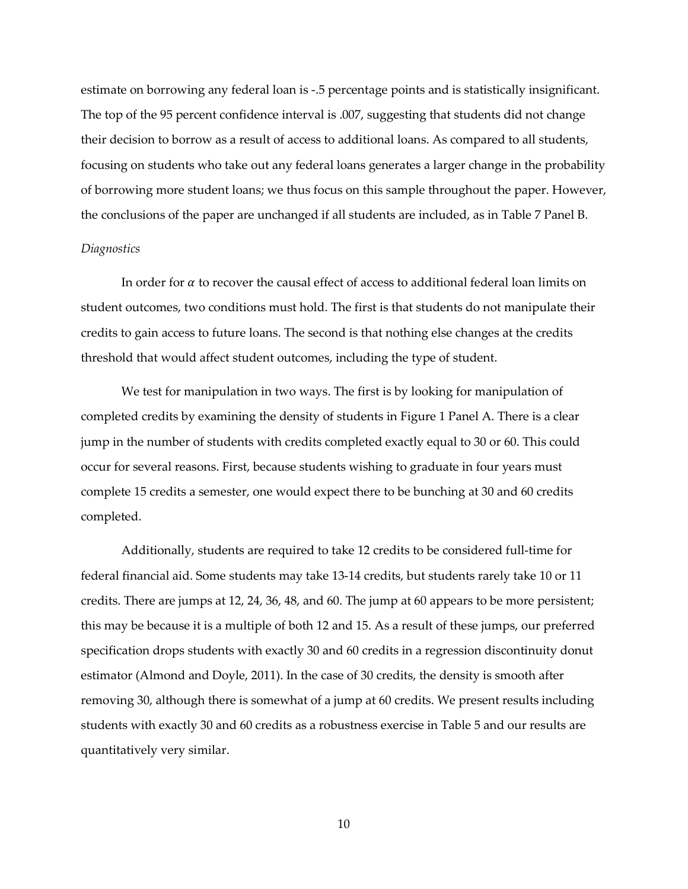estimate on borrowing any federal loan is -.5 percentage points and is statistically insignificant. The top of the 95 percent confidence interval is .007, suggesting that students did not change their decision to borrow as a result of access to additional loans. As compared to all students, focusing on students who take out any federal loans generates a larger change in the probability of borrowing more student loans; we thus focus on this sample throughout the paper. However, the conclusions of the paper are unchanged if all students are included, as in Table 7 Panel B.

#### *Diagnostics*

In order for  $\alpha$  to recover the causal effect of access to additional federal loan limits on student outcomes, two conditions must hold. The first is that students do not manipulate their credits to gain access to future loans. The second is that nothing else changes at the credits threshold that would affect student outcomes, including the type of student.

We test for manipulation in two ways. The first is by looking for manipulation of completed credits by examining the density of students in Figure 1 Panel A. There is a clear jump in the number of students with credits completed exactly equal to 30 or 60. This could occur for several reasons. First, because students wishing to graduate in four years must complete 15 credits a semester, one would expect there to be bunching at 30 and 60 credits completed.

Additionally, students are required to take 12 credits to be considered full-time for federal financial aid. Some students may take 13-14 credits, but students rarely take 10 or 11 credits. There are jumps at 12, 24, 36, 48, and 60. The jump at 60 appears to be more persistent; this may be because it is a multiple of both 12 and 15. As a result of these jumps, our preferred specification drops students with exactly 30 and 60 credits in a regression discontinuity donut estimator (Almond and Doyle, 2011). In the case of 30 credits, the density is smooth after removing 30, although there is somewhat of a jump at 60 credits. We present results including students with exactly 30 and 60 credits as a robustness exercise in Table 5 and our results are quantitatively very similar.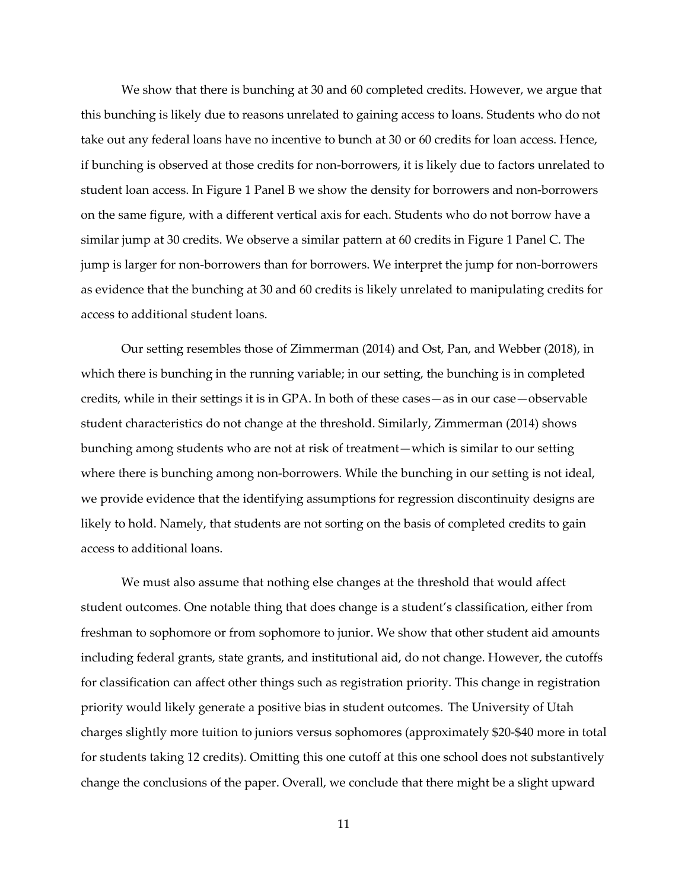We show that there is bunching at 30 and 60 completed credits. However, we argue that this bunching is likely due to reasons unrelated to gaining access to loans. Students who do not take out any federal loans have no incentive to bunch at 30 or 60 credits for loan access. Hence, if bunching is observed at those credits for non-borrowers, it is likely due to factors unrelated to student loan access. In Figure 1 Panel B we show the density for borrowers and non-borrowers on the same figure, with a different vertical axis for each. Students who do not borrow have a similar jump at 30 credits. We observe a similar pattern at 60 credits in Figure 1 Panel C. The jump is larger for non-borrowers than for borrowers. We interpret the jump for non-borrowers as evidence that the bunching at 30 and 60 credits is likely unrelated to manipulating credits for access to additional student loans.

Our setting resembles those of Zimmerman (2014) and Ost, Pan, and Webber (2018), in which there is bunching in the running variable; in our setting, the bunching is in completed credits, while in their settings it is in GPA. In both of these cases—as in our case—observable student characteristics do not change at the threshold. Similarly, Zimmerman (2014) shows bunching among students who are not at risk of treatment—which is similar to our setting where there is bunching among non-borrowers. While the bunching in our setting is not ideal, we provide evidence that the identifying assumptions for regression discontinuity designs are likely to hold. Namely, that students are not sorting on the basis of completed credits to gain access to additional loans.

We must also assume that nothing else changes at the threshold that would affect student outcomes. One notable thing that does change is a student's classification, either from freshman to sophomore or from sophomore to junior. We show that other student aid amounts including federal grants, state grants, and institutional aid, do not change. However, the cutoffs for classification can affect other things such as registration priority. This change in registration priority would likely generate a positive bias in student outcomes. The University of Utah charges slightly more tuition to juniors versus sophomores (approximately \$20-\$40 more in total for students taking 12 credits). Omitting this one cutoff at this one school does not substantively change the conclusions of the paper. Overall, we conclude that there might be a slight upward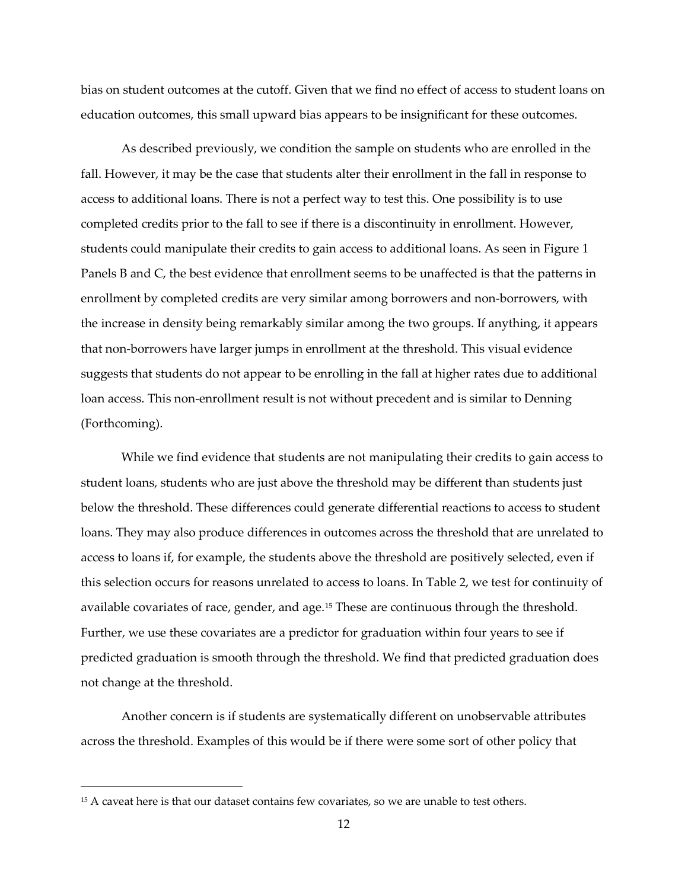bias on student outcomes at the cutoff. Given that we find no effect of access to student loans on education outcomes, this small upward bias appears to be insignificant for these outcomes.

As described previously, we condition the sample on students who are enrolled in the fall. However, it may be the case that students alter their enrollment in the fall in response to access to additional loans. There is not a perfect way to test this. One possibility is to use completed credits prior to the fall to see if there is a discontinuity in enrollment. However, students could manipulate their credits to gain access to additional loans. As seen in Figure 1 Panels B and C, the best evidence that enrollment seems to be unaffected is that the patterns in enrollment by completed credits are very similar among borrowers and non-borrowers, with the increase in density being remarkably similar among the two groups. If anything, it appears that non-borrowers have larger jumps in enrollment at the threshold. This visual evidence suggests that students do not appear to be enrolling in the fall at higher rates due to additional loan access. This non-enrollment result is not without precedent and is similar to Denning (Forthcoming).

While we find evidence that students are not manipulating their credits to gain access to student loans, students who are just above the threshold may be different than students just below the threshold. These differences could generate differential reactions to access to student loans. They may also produce differences in outcomes across the threshold that are unrelated to access to loans if, for example, the students above the threshold are positively selected, even if this selection occurs for reasons unrelated to access to loans. In Table 2, we test for continuity of available covariates of race, gender, and age.[15](#page-12-0) These are continuous through the threshold. Further, we use these covariates are a predictor for graduation within four years to see if predicted graduation is smooth through the threshold. We find that predicted graduation does not change at the threshold.

Another concern is if students are systematically different on unobservable attributes across the threshold. Examples of this would be if there were some sort of other policy that

l

<span id="page-12-0"></span><sup>&</sup>lt;sup>15</sup> A caveat here is that our dataset contains few covariates, so we are unable to test others.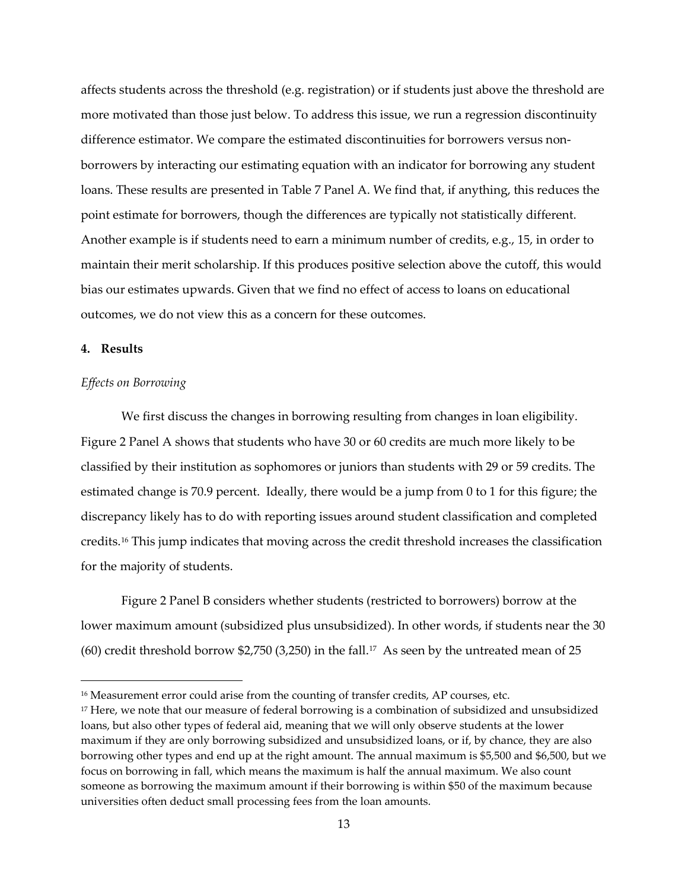affects students across the threshold (e.g. registration) or if students just above the threshold are more motivated than those just below. To address this issue, we run a regression discontinuity difference estimator. We compare the estimated discontinuities for borrowers versus nonborrowers by interacting our estimating equation with an indicator for borrowing any student loans. These results are presented in Table 7 Panel A. We find that, if anything, this reduces the point estimate for borrowers, though the differences are typically not statistically different. Another example is if students need to earn a minimum number of credits, e.g., 15, in order to maintain their merit scholarship. If this produces positive selection above the cutoff, this would bias our estimates upwards. Given that we find no effect of access to loans on educational outcomes, we do not view this as a concern for these outcomes.

## **4. Results**

 $\overline{a}$ 

#### *Effects on Borrowing*

We first discuss the changes in borrowing resulting from changes in loan eligibility. Figure 2 Panel A shows that students who have 30 or 60 credits are much more likely to be classified by their institution as sophomores or juniors than students with 29 or 59 credits. The estimated change is 70.9 percent. Ideally, there would be a jump from 0 to 1 for this figure; the discrepancy likely has to do with reporting issues around student classification and completed credits.[16](#page-13-0) This jump indicates that moving across the credit threshold increases the classification for the majority of students.

Figure 2 Panel B considers whether students (restricted to borrowers) borrow at the lower maximum amount (subsidized plus unsubsidized). In other words, if students near the 30 (60) credit threshold borrow \$2,750 (3,250) in the fall.<sup>[17](#page-13-1)</sup> As seen by the untreated mean of 25

<span id="page-13-0"></span><sup>&</sup>lt;sup>16</sup> Measurement error could arise from the counting of transfer credits, AP courses, etc.

<span id="page-13-1"></span><sup>&</sup>lt;sup>17</sup> Here, we note that our measure of federal borrowing is a combination of subsidized and unsubsidized loans, but also other types of federal aid, meaning that we will only observe students at the lower maximum if they are only borrowing subsidized and unsubsidized loans, or if, by chance, they are also borrowing other types and end up at the right amount. The annual maximum is \$5,500 and \$6,500, but we focus on borrowing in fall, which means the maximum is half the annual maximum. We also count someone as borrowing the maximum amount if their borrowing is within \$50 of the maximum because universities often deduct small processing fees from the loan amounts.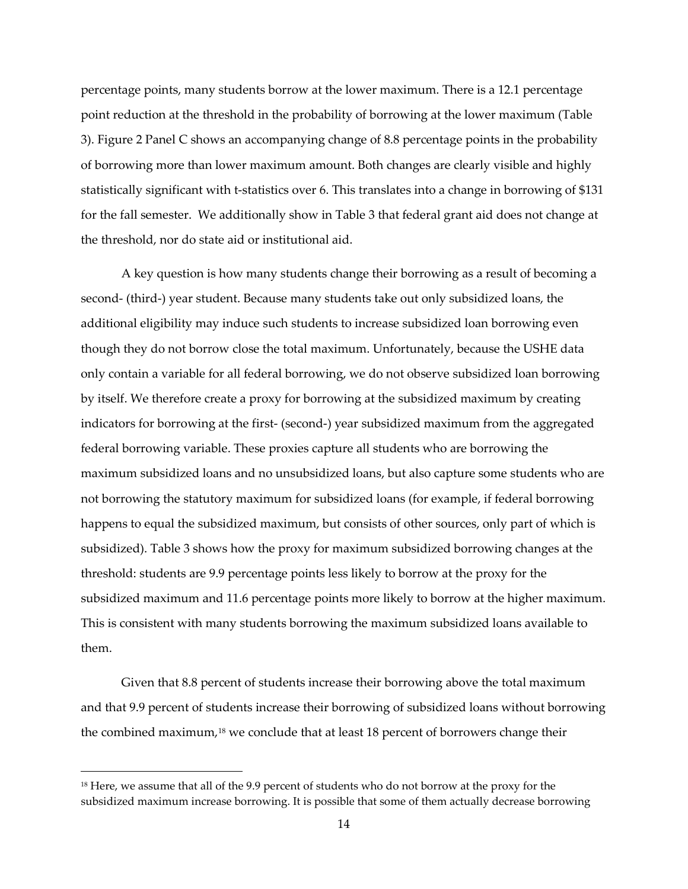percentage points, many students borrow at the lower maximum. There is a 12.1 percentage point reduction at the threshold in the probability of borrowing at the lower maximum (Table 3). Figure 2 Panel C shows an accompanying change of 8.8 percentage points in the probability of borrowing more than lower maximum amount. Both changes are clearly visible and highly statistically significant with t-statistics over 6. This translates into a change in borrowing of \$131 for the fall semester. We additionally show in Table 3 that federal grant aid does not change at the threshold, nor do state aid or institutional aid.

A key question is how many students change their borrowing as a result of becoming a second- (third-) year student. Because many students take out only subsidized loans, the additional eligibility may induce such students to increase subsidized loan borrowing even though they do not borrow close the total maximum. Unfortunately, because the USHE data only contain a variable for all federal borrowing, we do not observe subsidized loan borrowing by itself. We therefore create a proxy for borrowing at the subsidized maximum by creating indicators for borrowing at the first- (second-) year subsidized maximum from the aggregated federal borrowing variable. These proxies capture all students who are borrowing the maximum subsidized loans and no unsubsidized loans, but also capture some students who are not borrowing the statutory maximum for subsidized loans (for example, if federal borrowing happens to equal the subsidized maximum, but consists of other sources, only part of which is subsidized). Table 3 shows how the proxy for maximum subsidized borrowing changes at the threshold: students are 9.9 percentage points less likely to borrow at the proxy for the subsidized maximum and 11.6 percentage points more likely to borrow at the higher maximum. This is consistent with many students borrowing the maximum subsidized loans available to them.

Given that 8.8 percent of students increase their borrowing above the total maximum and that 9.9 percent of students increase their borrowing of subsidized loans without borrowing the combined maximum,<sup>18</sup> we conclude that at least 18 percent of borrowers change their

 $\overline{a}$ 

<span id="page-14-0"></span><sup>&</sup>lt;sup>18</sup> Here, we assume that all of the 9.9 percent of students who do not borrow at the proxy for the subsidized maximum increase borrowing. It is possible that some of them actually decrease borrowing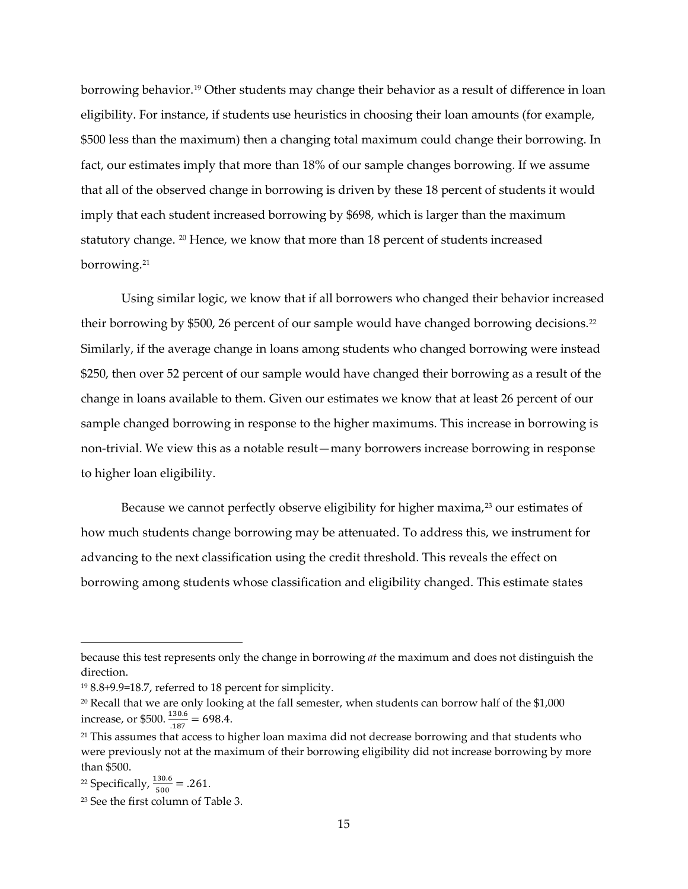borrowing behavior.[19](#page-15-0) Other students may change their behavior as a result of difference in loan eligibility. For instance, if students use heuristics in choosing their loan amounts (for example, \$500 less than the maximum) then a changing total maximum could change their borrowing. In fact, our estimates imply that more than 18% of our sample changes borrowing. If we assume that all of the observed change in borrowing is driven by these 18 percent of students it would imply that each student increased borrowing by \$698, which is larger than the maximum statutory change. [20](#page-15-1) Hence, we know that more than 18 percent of students increased borrowing.[21](#page-15-2)

Using similar logic, we know that if all borrowers who changed their behavior increased their borrowing by \$500, 26 percent of our sample would have changed borrowing decisions.<sup>[22](#page-15-3)</sup> Similarly, if the average change in loans among students who changed borrowing were instead \$250, then over 52 percent of our sample would have changed their borrowing as a result of the change in loans available to them. Given our estimates we know that at least 26 percent of our sample changed borrowing in response to the higher maximums. This increase in borrowing is non-trivial. We view this as a notable result—many borrowers increase borrowing in response to higher loan eligibility.

Because we cannot perfectly observe eligibility for higher maxima,<sup>[23](#page-15-4)</sup> our estimates of how much students change borrowing may be attenuated. To address this, we instrument for advancing to the next classification using the credit threshold. This reveals the effect on borrowing among students whose classification and eligibility changed. This estimate states

 $\overline{a}$ 

because this test represents only the change in borrowing *at* the maximum and does not distinguish the direction.

<span id="page-15-0"></span><sup>19</sup> 8.8+9.9=18.7, referred to 18 percent for simplicity.

<span id="page-15-1"></span><sup>20</sup> Recall that we are only looking at the fall semester, when students can borrow half of the \$1,000 increase, or \$500.  $\frac{130.6}{.187}$  = 698.4.

<span id="page-15-2"></span><sup>&</sup>lt;sup>21</sup> This assumes that access to higher loan maxima did not decrease borrowing and that students who were previously not at the maximum of their borrowing eligibility did not increase borrowing by more than \$500.

<span id="page-15-3"></span><sup>&</sup>lt;sup>22</sup> Specifically,  $\frac{130.6}{500}$  = .261.

<span id="page-15-4"></span><sup>23</sup> See the first column of Table 3.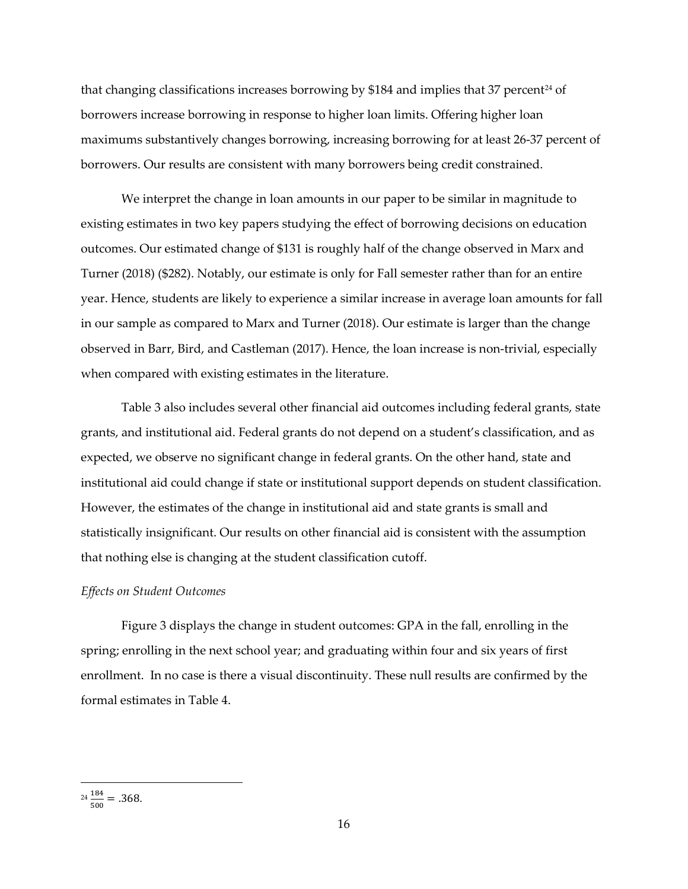that changing classifications increases borrowing by  $$184$  and implies that 37 percent<sup>[24](#page-16-0)</sup> of borrowers increase borrowing in response to higher loan limits. Offering higher loan maximums substantively changes borrowing, increasing borrowing for at least 26-37 percent of borrowers. Our results are consistent with many borrowers being credit constrained.

We interpret the change in loan amounts in our paper to be similar in magnitude to existing estimates in two key papers studying the effect of borrowing decisions on education outcomes. Our estimated change of \$131 is roughly half of the change observed in Marx and Turner (2018) (\$282). Notably, our estimate is only for Fall semester rather than for an entire year. Hence, students are likely to experience a similar increase in average loan amounts for fall in our sample as compared to Marx and Turner (2018). Our estimate is larger than the change observed in Barr, Bird, and Castleman (2017). Hence, the loan increase is non-trivial, especially when compared with existing estimates in the literature.

Table 3 also includes several other financial aid outcomes including federal grants, state grants, and institutional aid. Federal grants do not depend on a student's classification, and as expected, we observe no significant change in federal grants. On the other hand, state and institutional aid could change if state or institutional support depends on student classification. However, the estimates of the change in institutional aid and state grants is small and statistically insignificant. Our results on other financial aid is consistent with the assumption that nothing else is changing at the student classification cutoff.

#### *Effects on Student Outcomes*

Figure 3 displays the change in student outcomes: GPA in the fall, enrolling in the spring; enrolling in the next school year; and graduating within four and six years of first enrollment. In no case is there a visual discontinuity. These null results are confirmed by the formal estimates in Table 4.

l

<span id="page-16-0"></span> $\frac{184}{500} = .368.$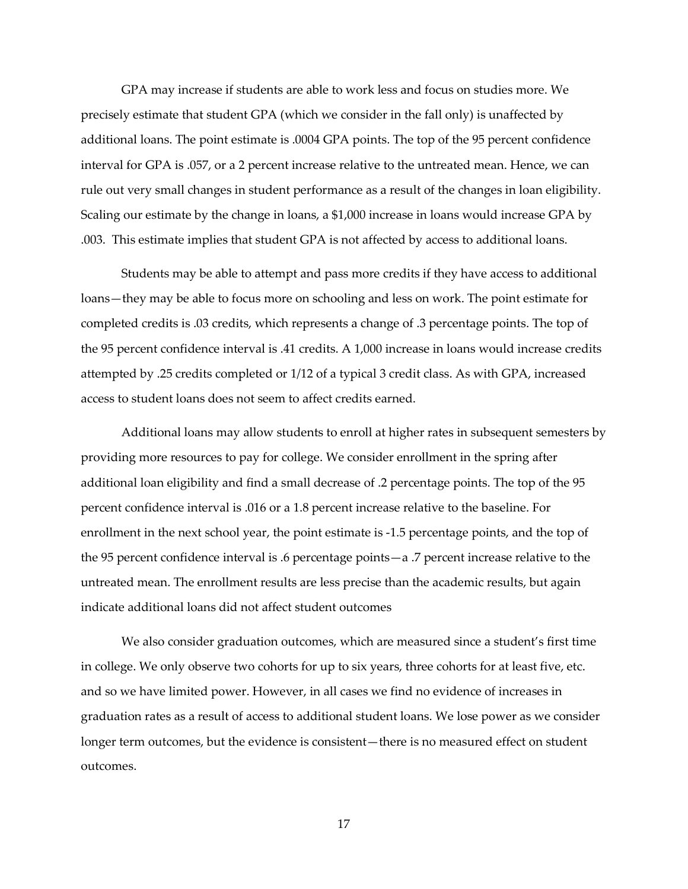GPA may increase if students are able to work less and focus on studies more. We precisely estimate that student GPA (which we consider in the fall only) is unaffected by additional loans. The point estimate is .0004 GPA points. The top of the 95 percent confidence interval for GPA is .057, or a 2 percent increase relative to the untreated mean. Hence, we can rule out very small changes in student performance as a result of the changes in loan eligibility. Scaling our estimate by the change in loans, a \$1,000 increase in loans would increase GPA by .003. This estimate implies that student GPA is not affected by access to additional loans.

Students may be able to attempt and pass more credits if they have access to additional loans—they may be able to focus more on schooling and less on work. The point estimate for completed credits is .03 credits, which represents a change of .3 percentage points. The top of the 95 percent confidence interval is .41 credits. A 1,000 increase in loans would increase credits attempted by .25 credits completed or 1/12 of a typical 3 credit class. As with GPA, increased access to student loans does not seem to affect credits earned.

Additional loans may allow students to enroll at higher rates in subsequent semesters by providing more resources to pay for college. We consider enrollment in the spring after additional loan eligibility and find a small decrease of .2 percentage points. The top of the 95 percent confidence interval is .016 or a 1.8 percent increase relative to the baseline. For enrollment in the next school year, the point estimate is -1.5 percentage points, and the top of the 95 percent confidence interval is .6 percentage points—a .7 percent increase relative to the untreated mean. The enrollment results are less precise than the academic results, but again indicate additional loans did not affect student outcomes

We also consider graduation outcomes, which are measured since a student's first time in college. We only observe two cohorts for up to six years, three cohorts for at least five, etc. and so we have limited power. However, in all cases we find no evidence of increases in graduation rates as a result of access to additional student loans. We lose power as we consider longer term outcomes, but the evidence is consistent—there is no measured effect on student outcomes.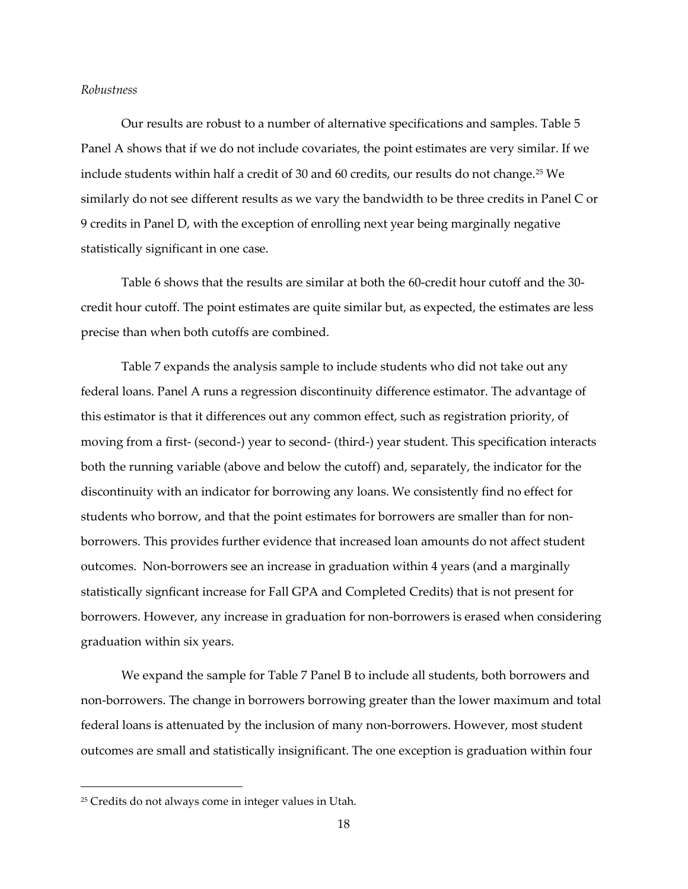#### *Robustness*

Our results are robust to a number of alternative specifications and samples. Table 5 Panel A shows that if we do not include covariates, the point estimates are very similar. If we include students within half a credit of 30 and 60 credits, our results do not change.<sup>[25](#page-18-0)</sup> We similarly do not see different results as we vary the bandwidth to be three credits in Panel C or 9 credits in Panel D, with the exception of enrolling next year being marginally negative statistically significant in one case.

Table 6 shows that the results are similar at both the 60-credit hour cutoff and the 30 credit hour cutoff. The point estimates are quite similar but, as expected, the estimates are less precise than when both cutoffs are combined.

Table 7 expands the analysis sample to include students who did not take out any federal loans. Panel A runs a regression discontinuity difference estimator. The advantage of this estimator is that it differences out any common effect, such as registration priority, of moving from a first- (second-) year to second- (third-) year student. This specification interacts both the running variable (above and below the cutoff) and, separately, the indicator for the discontinuity with an indicator for borrowing any loans. We consistently find no effect for students who borrow, and that the point estimates for borrowers are smaller than for nonborrowers. This provides further evidence that increased loan amounts do not affect student outcomes. Non-borrowers see an increase in graduation within 4 years (and a marginally statistically signficant increase for Fall GPA and Completed Credits) that is not present for borrowers. However, any increase in graduation for non-borrowers is erased when considering graduation within six years.

We expand the sample for Table 7 Panel B to include all students, both borrowers and non-borrowers. The change in borrowers borrowing greater than the lower maximum and total federal loans is attenuated by the inclusion of many non-borrowers. However, most student outcomes are small and statistically insignificant. The one exception is graduation within four

l

<span id="page-18-0"></span><sup>25</sup> Credits do not always come in integer values in Utah.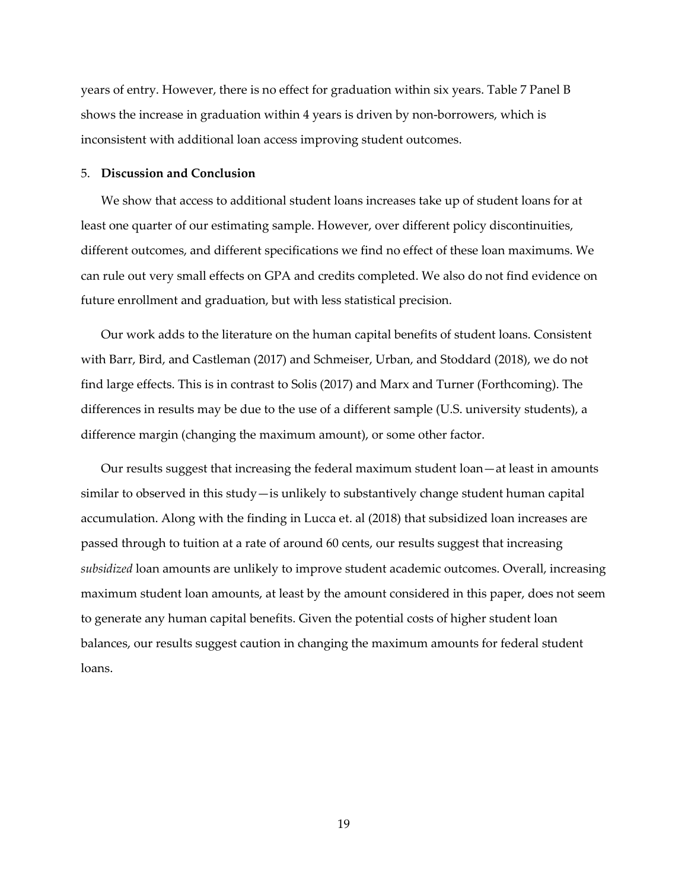years of entry. However, there is no effect for graduation within six years. Table 7 Panel B shows the increase in graduation within 4 years is driven by non-borrowers, which is inconsistent with additional loan access improving student outcomes.

### 5. **Discussion and Conclusion**

We show that access to additional student loans increases take up of student loans for at least one quarter of our estimating sample. However, over different policy discontinuities, different outcomes, and different specifications we find no effect of these loan maximums. We can rule out very small effects on GPA and credits completed. We also do not find evidence on future enrollment and graduation, but with less statistical precision.

Our work adds to the literature on the human capital benefits of student loans. Consistent with Barr, Bird, and Castleman (2017) and Schmeiser, Urban, and Stoddard (2018), we do not find large effects. This is in contrast to Solis (2017) and Marx and Turner (Forthcoming). The differences in results may be due to the use of a different sample (U.S. university students), a difference margin (changing the maximum amount), or some other factor.

Our results suggest that increasing the federal maximum student loan—at least in amounts similar to observed in this study—is unlikely to substantively change student human capital accumulation. Along with the finding in Lucca et. al (2018) that subsidized loan increases are passed through to tuition at a rate of around 60 cents, our results suggest that increasing *subsidized* loan amounts are unlikely to improve student academic outcomes. Overall, increasing maximum student loan amounts, at least by the amount considered in this paper, does not seem to generate any human capital benefits. Given the potential costs of higher student loan balances, our results suggest caution in changing the maximum amounts for federal student loans.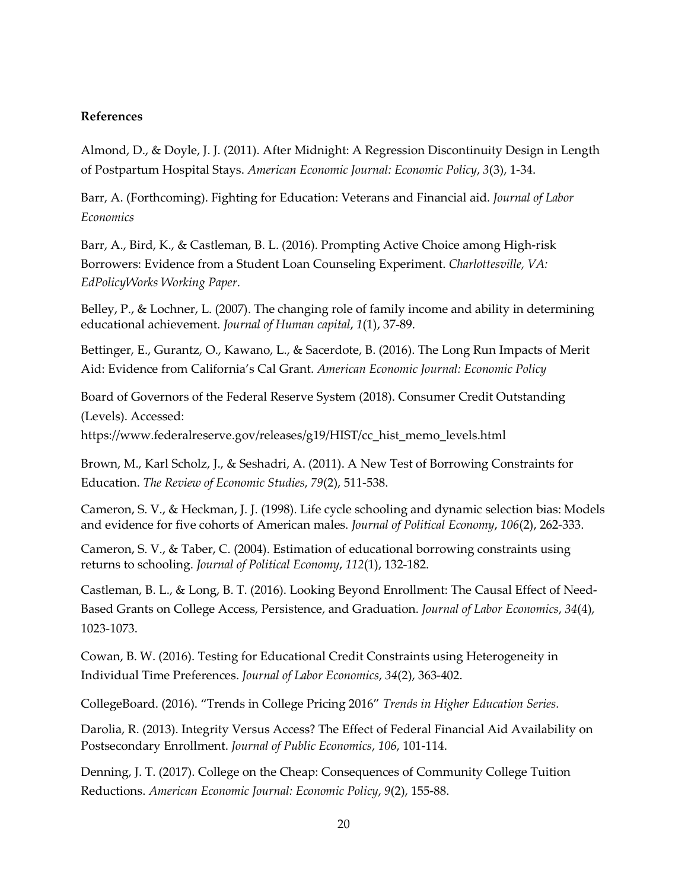## **References**

Almond, D., & Doyle, J. J. (2011). After Midnight: A Regression Discontinuity Design in Length of Postpartum Hospital Stays. *American Economic Journal: Economic Policy*, *3*(3), 1-34.

Barr, A. (Forthcoming). Fighting for Education: Veterans and Financial aid. *Journal of Labor Economics*

Barr, A., Bird, K., & Castleman, B. L. (2016). Prompting Active Choice among High-risk Borrowers: Evidence from a Student Loan Counseling Experiment. *Charlottesville, VA: EdPolicyWorks Working Paper*.

Belley, P., & Lochner, L. (2007). The changing role of family income and ability in determining educational achievement. *Journal of Human capital*, *1*(1), 37-89.

Bettinger, E., Gurantz, O., Kawano, L., & Sacerdote, B. (2016). The Long Run Impacts of Merit Aid: Evidence from California's Cal Grant. *American Economic Journal: Economic Policy*

Board of Governors of the Federal Reserve System (2018). Consumer Credit Outstanding (Levels). Accessed:

https://www.federalreserve.gov/releases/g19/HIST/cc\_hist\_memo\_levels.html

Brown, M., Karl Scholz, J., & Seshadri, A. (2011). A New Test of Borrowing Constraints for Education. *The Review of Economic Studies*, *79*(2), 511-538.

Cameron, S. V., & Heckman, J. J. (1998). Life cycle schooling and dynamic selection bias: Models and evidence for five cohorts of American males. *Journal of Political Economy*, *106*(2), 262-333.

Cameron, S. V., & Taber, C. (2004). Estimation of educational borrowing constraints using returns to schooling. *Journal of Political Economy*, *112*(1), 132-182.

Castleman, B. L., & Long, B. T. (2016). Looking Beyond Enrollment: The Causal Effect of Need-Based Grants on College Access, Persistence, and Graduation. *Journal of Labor Economics*, *34*(4), 1023-1073.

Cowan, B. W. (2016). Testing for Educational Credit Constraints using Heterogeneity in Individual Time Preferences. *Journal of Labor Economics*, *34*(2), 363-402.

CollegeBoard. (2016). "Trends in College Pricing 2016" *Trends in Higher Education Series.*

Darolia, R. (2013). Integrity Versus Access? The Effect of Federal Financial Aid Availability on Postsecondary Enrollment. *Journal of Public Economics*, *106*, 101-114.

Denning, J. T. (2017). College on the Cheap: Consequences of Community College Tuition Reductions. *American Economic Journal: Economic Policy*, *9*(2), 155-88.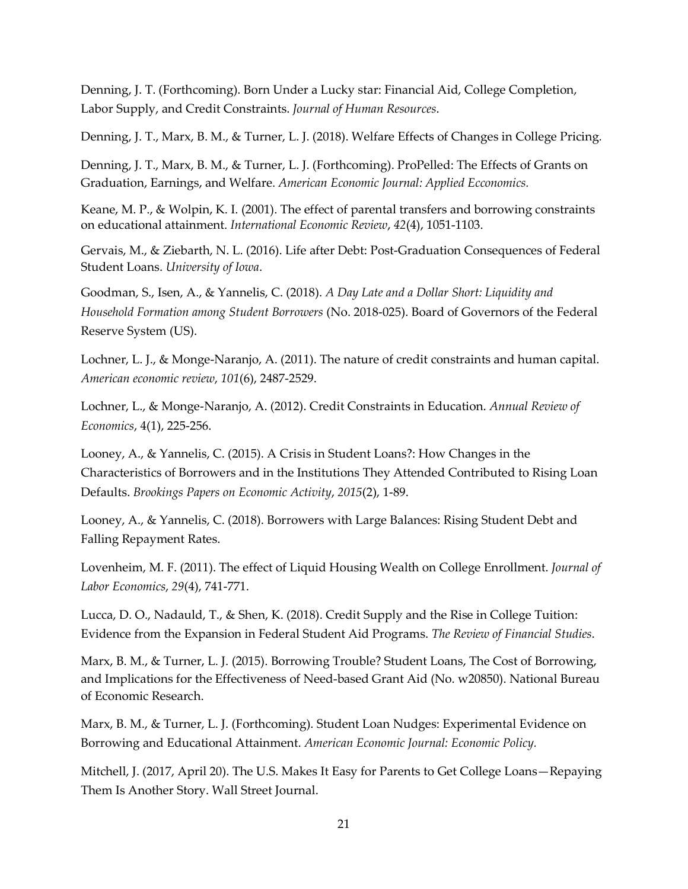Denning, J. T. (Forthcoming). Born Under a Lucky star: Financial Aid, College Completion, Labor Supply, and Credit Constraints. *Journal of Human Resources*.

Denning, J. T., Marx, B. M., & Turner, L. J. (2018). Welfare Effects of Changes in College Pricing*.*

Denning, J. T., Marx, B. M., & Turner, L. J. (Forthcoming). ProPelled: The Effects of Grants on Graduation, Earnings, and Welfare. *American Economic Journal: Applied Ecconomics.*

Keane, M. P., & Wolpin, K. I. (2001). The effect of parental transfers and borrowing constraints on educational attainment. *International Economic Review*, *42*(4), 1051-1103.

Gervais, M., & Ziebarth, N. L. (2016). Life after Debt: Post-Graduation Consequences of Federal Student Loans. *University of Iowa*.

Goodman, S., Isen, A., & Yannelis, C. (2018). *A Day Late and a Dollar Short: Liquidity and Household Formation among Student Borrowers* (No. 2018-025). Board of Governors of the Federal Reserve System (US).

Lochner, L. J., & Monge-Naranjo, A. (2011). The nature of credit constraints and human capital. *American economic review*, *101*(6), 2487-2529.

Lochner, L., & Monge-Naranjo, A. (2012). Credit Constraints in Education. *Annual Review of Economics*, 4(1), 225-256.

Looney, A., & Yannelis, C. (2015). A Crisis in Student Loans?: How Changes in the Characteristics of Borrowers and in the Institutions They Attended Contributed to Rising Loan Defaults. *Brookings Papers on Economic Activity*, *2015*(2), 1-89.

Looney, A., & Yannelis, C. (2018). Borrowers with Large Balances: Rising Student Debt and Falling Repayment Rates.

Lovenheim, M. F. (2011). The effect of Liquid Housing Wealth on College Enrollment. *Journal of Labor Economics*, *29*(4), 741-771.

Lucca, D. O., Nadauld, T., & Shen, K. (2018). Credit Supply and the Rise in College Tuition: Evidence from the Expansion in Federal Student Aid Programs. *The Review of Financial Studies*.

Marx, B. M., & Turner, L. J. (2015). Borrowing Trouble? Student Loans, The Cost of Borrowing, and Implications for the Effectiveness of Need-based Grant Aid (No. w20850). National Bureau of Economic Research.

Marx, B. M., & Turner, L. J. (Forthcoming). Student Loan Nudges: Experimental Evidence on Borrowing and Educational Attainment. *American Economic Journal: Economic Policy.* 

Mitchell, J. (2017, April 20). The U.S. Makes It Easy for Parents to Get College Loans—Repaying Them Is Another Story. Wall Street Journal.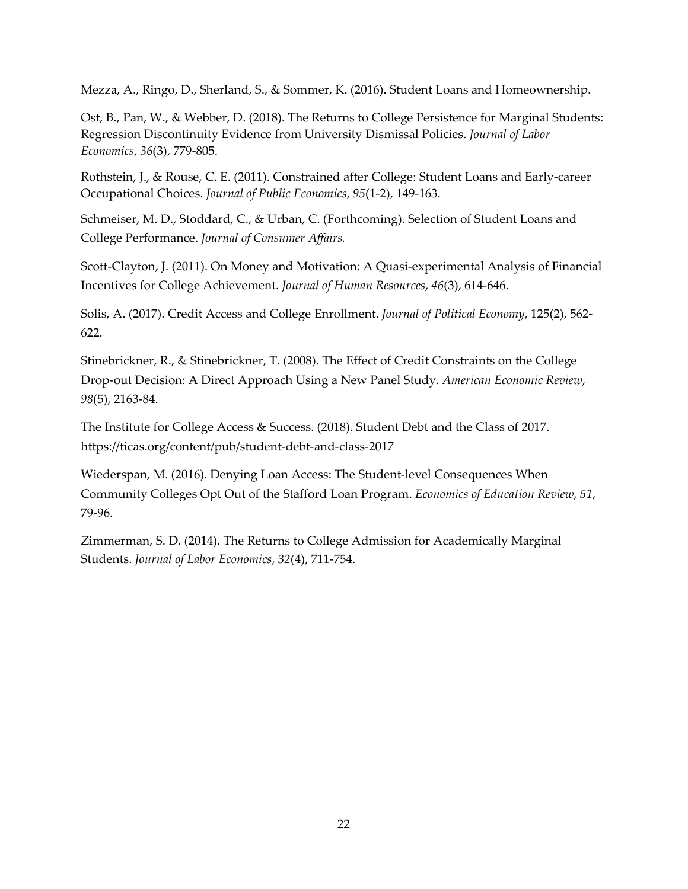Mezza, A., Ringo, D., Sherland, S., & Sommer, K. (2016). Student Loans and Homeownership.

Ost, B., Pan, W., & Webber, D. (2018). The Returns to College Persistence for Marginal Students: Regression Discontinuity Evidence from University Dismissal Policies. *Journal of Labor Economics*, *36*(3), 779-805.

Rothstein, J., & Rouse, C. E. (2011). Constrained after College: Student Loans and Early-career Occupational Choices. *Journal of Public Economics*, *95*(1-2), 149-163.

Schmeiser, M. D., Stoddard, C., & Urban, C. (Forthcoming). Selection of Student Loans and College Performance. *Journal of Consumer Affairs.*

Scott-Clayton, J. (2011). On Money and Motivation: A Quasi-experimental Analysis of Financial Incentives for College Achievement. *Journal of Human Resources*, *46*(3), 614-646.

Solis, A. (2017). Credit Access and College Enrollment. *Journal of Political Economy*, 125(2), 562- 622.

Stinebrickner, R., & Stinebrickner, T. (2008). The Effect of Credit Constraints on the College Drop-out Decision: A Direct Approach Using a New Panel Study. *American Economic Review*, *98*(5), 2163-84.

The Institute for College Access & Success. (2018). Student Debt and the Class of 2017. https://ticas.org/content/pub/student-debt-and-class-2017

Wiederspan, M. (2016). Denying Loan Access: The Student-level Consequences When Community Colleges Opt Out of the Stafford Loan Program. *Economics of Education Review*, *51*, 79-96.

Zimmerman, S. D. (2014). The Returns to College Admission for Academically Marginal Students. *Journal of Labor Economics*, *32*(4), 711-754.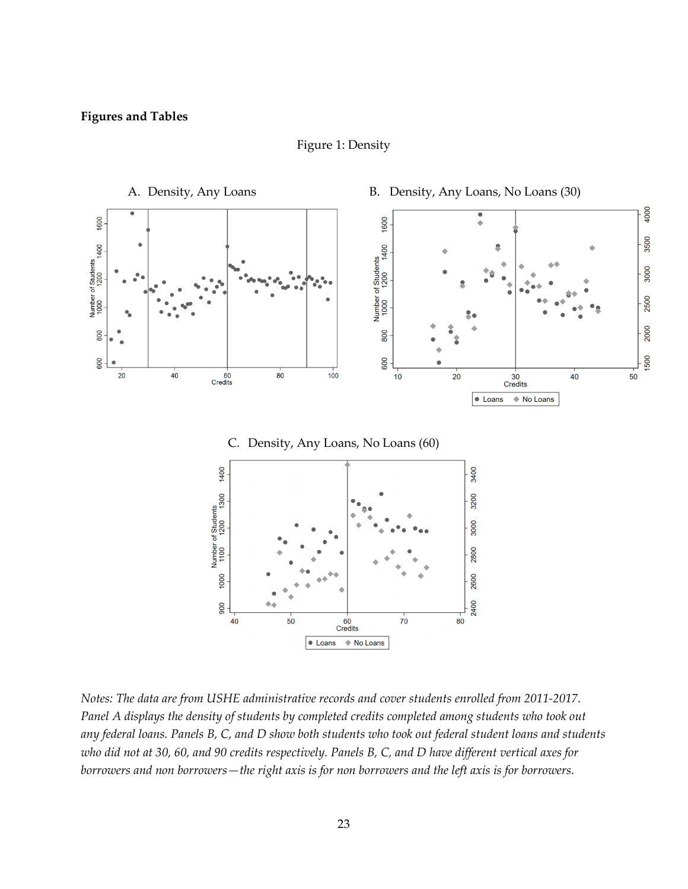Figure 1: Density



*Notes: The data are from USHE administrative records and cover students enrolled from 2011-2017. Panel A displays the density of students by completed credits completed among students who took out any federal loans. Panels B, C, and D show both students who took out federal student loans and students who did not at 30, 60, and 90 credits respectively. Panels B, C, and D have different vertical axes for borrowers and non borrowers—the right axis is for non borrowers and the left axis is for borrowers.*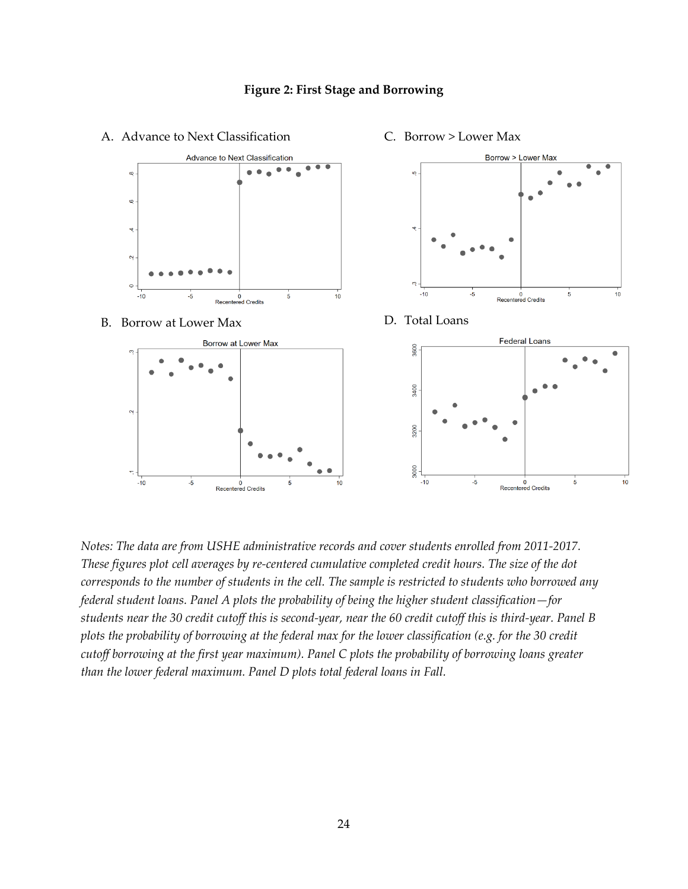

## **Figure 2: First Stage and Borrowing**

*Notes: The data are from USHE administrative records and cover students enrolled from 2011-2017. These figures plot cell averages by re-centered cumulative completed credit hours. The size of the dot corresponds to the number of students in the cell. The sample is restricted to students who borrowed any federal student loans. Panel A plots the probability of being the higher student classification—for students near the 30 credit cutoff this is second-year, near the 60 credit cutoff this is third-year. Panel B plots the probability of borrowing at the federal max for the lower classification (e.g. for the 30 credit cutoff borrowing at the first year maximum). Panel C plots the probability of borrowing loans greater than the lower federal maximum. Panel D plots total federal loans in Fall.*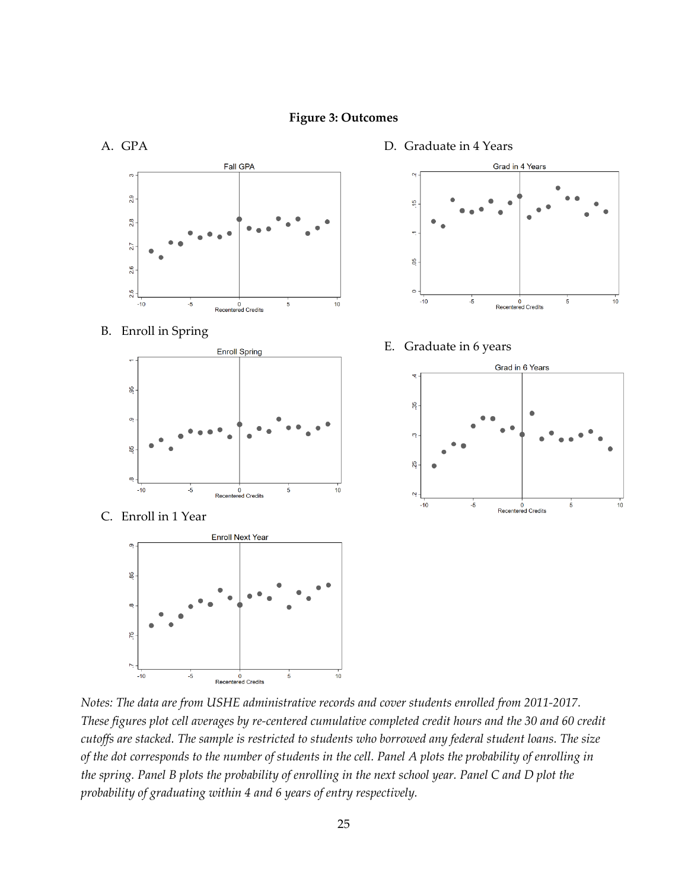

*Notes: The data are from USHE administrative records and cover students enrolled from 2011-2017. These figures plot cell averages by re-centered cumulative completed credit hours and the 30 and 60 credit cutoffs are stacked. The sample is restricted to students who borrowed any federal student loans. The size of the dot corresponds to the number of students in the cell. Panel A plots the probability of enrolling in the spring. Panel B plots the probability of enrolling in the next school year. Panel C and D plot the probability of graduating within 4 and 6 years of entry respectively.*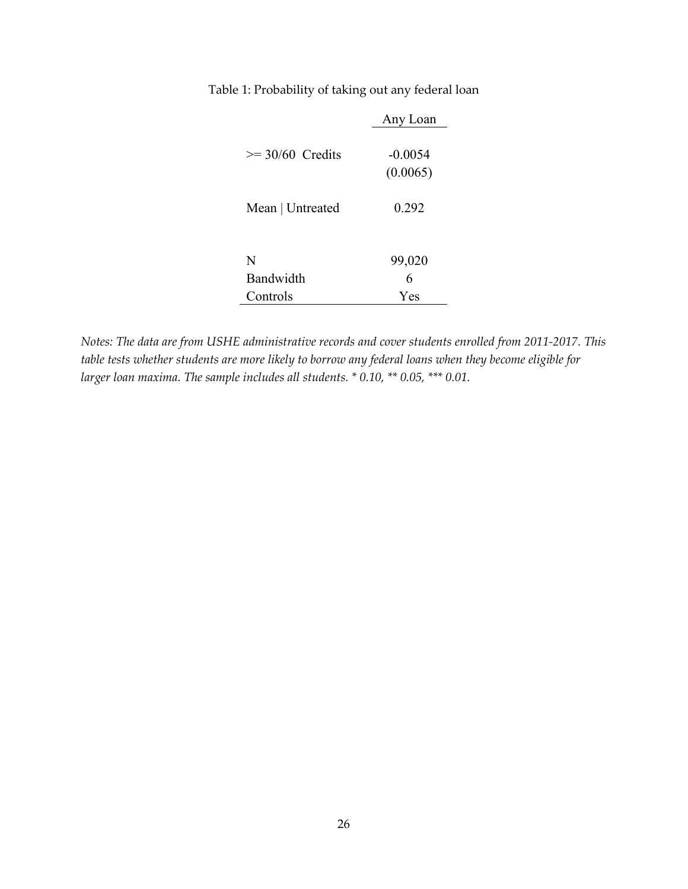Table 1: Probability of taking out any federal loan

|                      | Any Loan              |
|----------------------|-----------------------|
| $\geq$ 30/60 Credits | $-0.0054$<br>(0.0065) |
| Mean   Untreated     | 0.292                 |
|                      |                       |
| N                    | 99,020                |
| Bandwidth            | 6                     |
| Controls             | Yes                   |

*Notes: The data are from USHE administrative records and cover students enrolled from 2011-2017. This table tests whether students are more likely to borrow any federal loans when they become eligible for larger loan maxima. The sample includes all students. \* 0.10, \*\* 0.05, \*\*\* 0.01.*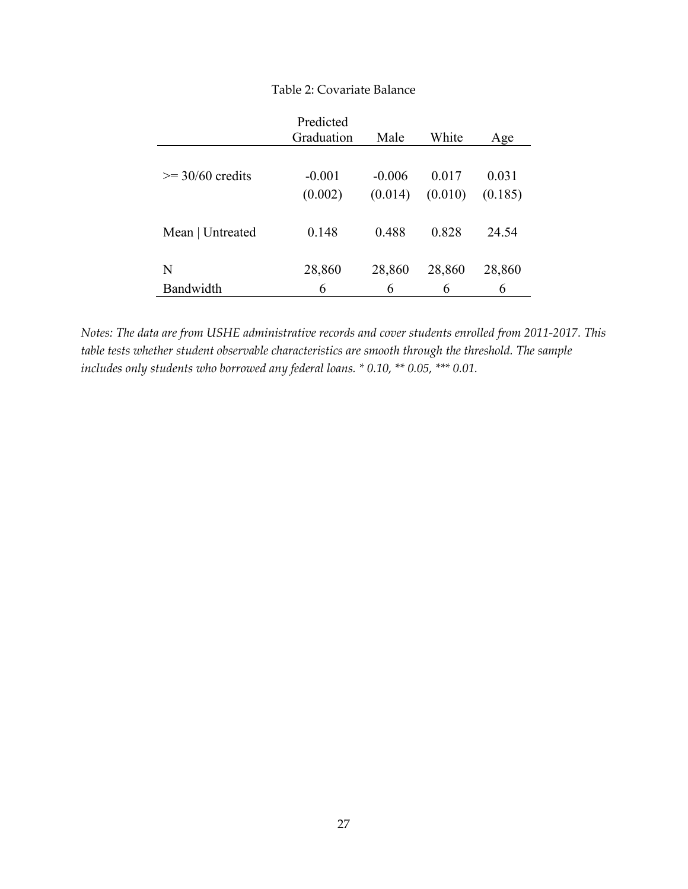|                      | Predicted<br>Graduation | Male     | White   | Age     |
|----------------------|-------------------------|----------|---------|---------|
| $\geq$ 30/60 credits | $-0.001$                | $-0.006$ | 0.017   | 0.031   |
|                      | (0.002)                 | (0.014)  | (0.010) | (0.185) |
| Mean   Untreated     | 0.148                   | 0.488    | 0.828   | 24.54   |
| N                    | 28,860                  | 28,860   | 28,860  | 28,860  |
| Bandwidth            | 6                       | 6        | 6       | 6       |

# Table 2: Covariate Balance

*Notes: The data are from USHE administrative records and cover students enrolled from 2011-2017. This table tests whether student observable characteristics are smooth through the threshold. The sample includes only students who borrowed any federal loans. \* 0.10, \*\* 0.05, \*\*\* 0.01.*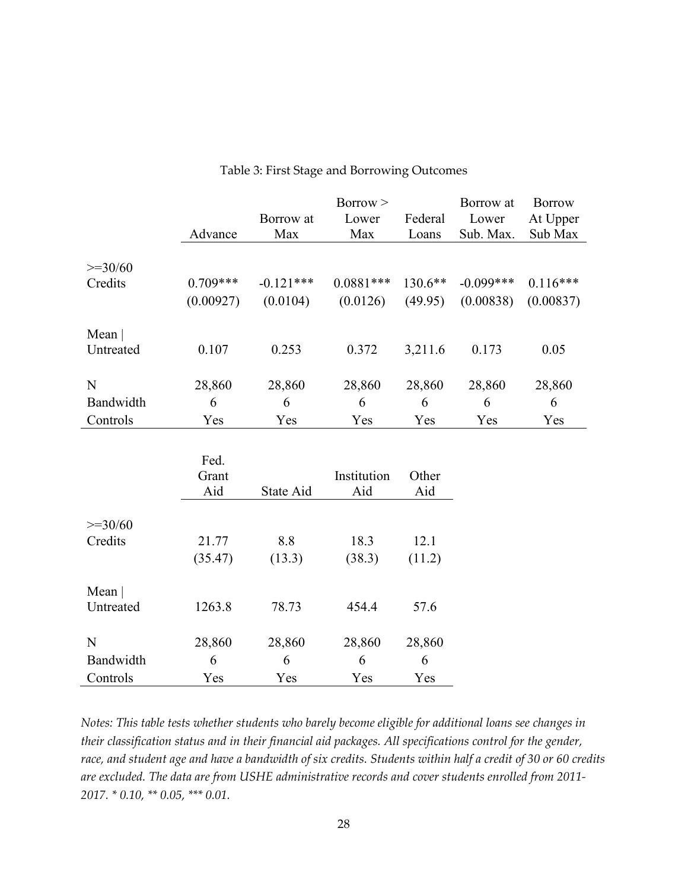|                      | Advance              | Borrow at<br>Max | Borrow ><br>Lower<br>Max | Federal<br>Loans | Borrow at<br>Lower<br>Sub. Max. | <b>Borrow</b><br>At Upper<br>Sub Max |
|----------------------|----------------------|------------------|--------------------------|------------------|---------------------------------|--------------------------------------|
|                      |                      |                  |                          |                  |                                 |                                      |
| $>=30/60$<br>Credits | $0.709***$           | $-0.121***$      | $0.0881***$              | 130.6**          | $-0.099***$                     | $0.116***$                           |
|                      | (0.00927)            | (0.0104)         | (0.0126)                 | (49.95)          | (0.00838)                       | (0.00837)                            |
| Mean $ $             |                      |                  |                          |                  |                                 |                                      |
| Untreated            | 0.107                | 0.253            | 0.372                    | 3,211.6          | 0.173                           | 0.05                                 |
| N                    | 28,860               | 28,860           | 28,860                   | 28,860           | 28,860                          | 28,860                               |
| Bandwidth            | 6                    | 6                | 6                        | 6                | 6                               | 6                                    |
| Controls             | Yes                  | Yes              | Yes                      | Yes              | Yes                             | Yes                                  |
|                      | Fed.<br>Grant<br>Aid | State Aid        | Institution<br>Aid       | Other<br>Aid     |                                 |                                      |
| $>=30/60$            |                      |                  |                          |                  |                                 |                                      |
| Credits              | 21.77                | 8.8              | 18.3                     | 12.1             |                                 |                                      |
|                      | (35.47)              | (13.3)           | (38.3)                   | (11.2)           |                                 |                                      |
| Mean $ $             |                      |                  |                          |                  |                                 |                                      |
| Untreated            | 1263.8               | 78.73            | 454.4                    | 57.6             |                                 |                                      |
| N                    | 28,860               | 28,860           | 28,860                   | 28,860           |                                 |                                      |
| Bandwidth            | 6                    | 6                | 6                        | 6                |                                 |                                      |
| Controls             | Yes                  | Yes              | Yes                      | Yes              |                                 |                                      |

### Table 3: First Stage and Borrowing Outcomes

*Notes: This table tests whether students who barely become eligible for additional loans see changes in their classification status and in their financial aid packages. All specifications control for the gender, race, and student age and have a bandwidth of six credits. Students within half a credit of 30 or 60 credits are excluded. The data are from USHE administrative records and cover students enrolled from 2011- 2017. \* 0.10, \*\* 0.05, \*\*\* 0.01.*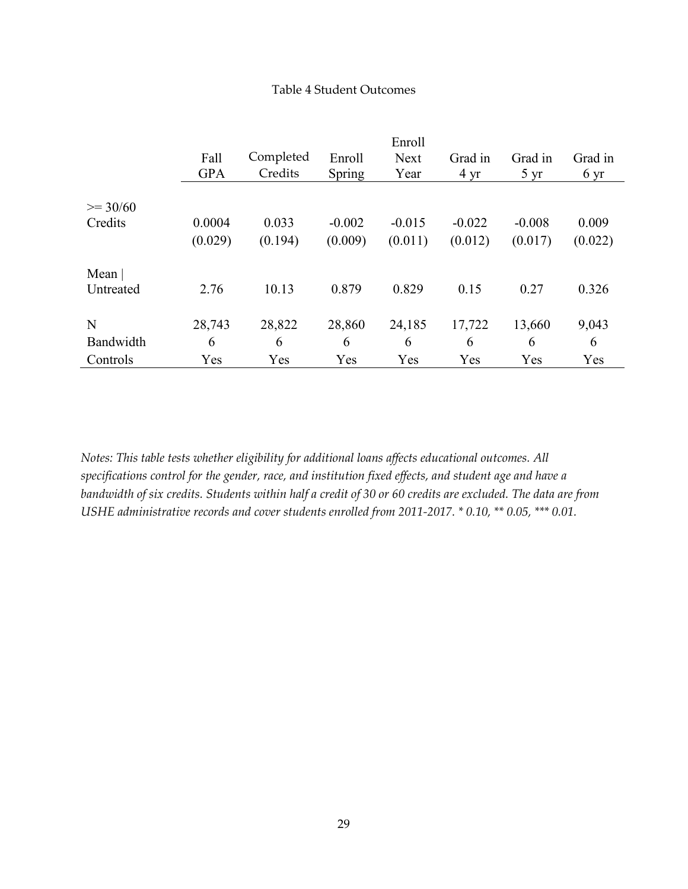# Table 4 Student Outcomes

|              | Fall<br><b>GPA</b> | Completed<br>Credits | Enroll<br>Spring | Enroll<br><b>Next</b><br>Year | Grad in<br>$4 \text{ yr}$ | Grad in<br>$5 \text{ yr}$ | Grad in<br>6 yr |
|--------------|--------------------|----------------------|------------------|-------------------------------|---------------------------|---------------------------|-----------------|
| $\geq$ 30/60 |                    |                      |                  |                               |                           |                           |                 |
| Credits      | 0.0004             | 0.033                | $-0.002$         | $-0.015$                      | $-0.022$                  | $-0.008$                  | 0.009           |
|              | (0.029)            | (0.194)              | (0.009)          | (0.011)                       | (0.012)                   | (0.017)                   | (0.022)         |
| Mean $ $     |                    |                      |                  |                               |                           |                           |                 |
| Untreated    | 2.76               | 10.13                | 0.879            | 0.829                         | 0.15                      | 0.27                      | 0.326           |
| N            | 28,743             | 28,822               | 28,860           | 24,185                        | 17,722                    | 13,660                    | 9,043           |
| Bandwidth    | 6                  | 6                    | 6                | 6                             | 6                         | 6                         | 6               |
| Controls     | Yes                | Yes                  | Yes              | Yes                           | Yes                       | Yes                       | Yes             |

*Notes: This table tests whether eligibility for additional loans affects educational outcomes. All specifications control for the gender, race, and institution fixed effects, and student age and have a bandwidth of six credits. Students within half a credit of 30 or 60 credits are excluded. The data are from USHE administrative records and cover students enrolled from 2011-2017. \* 0.10, \*\* 0.05, \*\*\* 0.01.*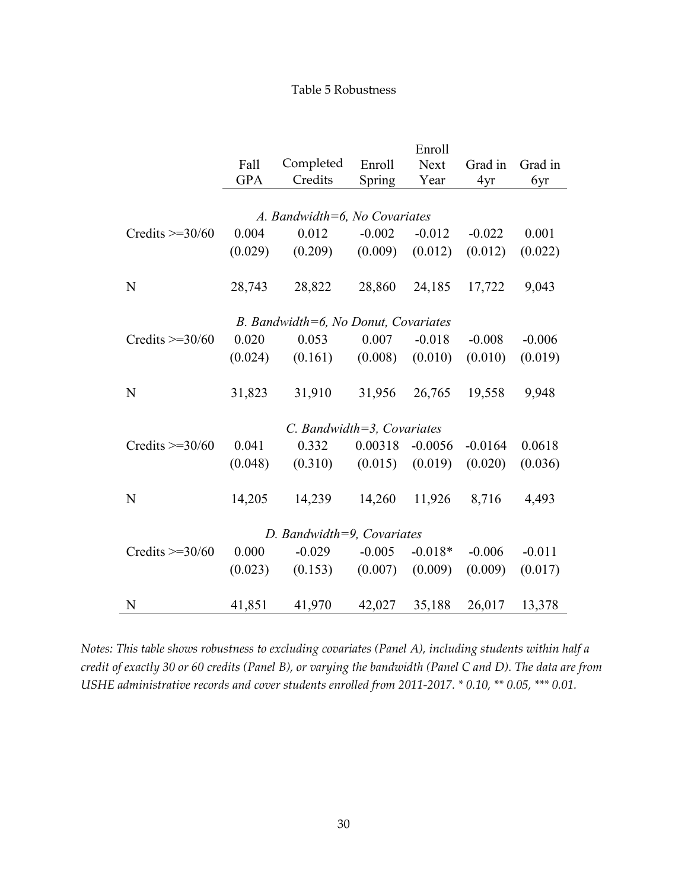# Table 5 Robustness

|                        | Enroll     |                                      |          |           |           |          |
|------------------------|------------|--------------------------------------|----------|-----------|-----------|----------|
|                        | Fall       | Completed                            | Enroll   | Next      | Grad in   | Grad in  |
|                        | <b>GPA</b> | Credits                              | Spring   | Year      | 4yr       | 6yr      |
|                        |            |                                      |          |           |           |          |
|                        |            | A. Bandwidth=6, No Covariates        |          |           |           |          |
| Credits $\geq$ 30/60   | 0.004      | 0.012                                | $-0.002$ | $-0.012$  | $-0.022$  | 0.001    |
|                        | (0.029)    | (0.209)                              | (0.009)  | (0.012)   | (0.012)   | (0.022)  |
|                        |            |                                      |          |           |           |          |
| N                      | 28,743     | 28,822                               | 28,860   | 24,185    | 17,722    | 9,043    |
|                        |            |                                      |          |           |           |          |
|                        |            | B. Bandwidth=6, No Donut, Covariates |          |           |           |          |
| Credits $\geq$ =30/60  | 0.020      | 0.053                                | 0.007    | $-0.018$  | $-0.008$  | $-0.006$ |
|                        | (0.024)    | (0.161)                              | (0.008)  | (0.010)   | (0.010)   | (0.019)  |
|                        |            |                                      |          |           |           |          |
| N                      | 31,823     | 31,910                               | 31,956   | 26,765    | 19,558    | 9,948    |
|                        |            |                                      |          |           |           |          |
|                        |            | $C.$ Bandwidth=3, Covariates         |          |           |           |          |
| Credits $\geq$ = 30/60 | 0.041      | 0.332                                | 0.00318  | $-0.0056$ | $-0.0164$ | 0.0618   |
|                        | (0.048)    | (0.310)                              | (0.015)  | (0.019)   | (0.020)   | (0.036)  |
|                        |            |                                      |          |           |           |          |
| N                      | 14,205     | 14,239                               | 14,260   | 11,926    | 8,716     | 4,493    |
|                        |            |                                      |          |           |           |          |
|                        |            | D. Bandwidth=9, Covariates           |          |           |           |          |
| Credits $\geq$ = 30/60 | 0.000      | $-0.029$                             | $-0.005$ | $-0.018*$ | $-0.006$  | $-0.011$ |
|                        | (0.023)    | (0.153)                              | (0.007)  | (0.009)   | (0.009)   | (0.017)  |
|                        |            |                                      |          |           |           |          |
| N                      | 41,851     | 41,970                               | 42,027   | 35,188    | 26,017    | 13,378   |
|                        |            |                                      |          |           |           |          |

*Notes: This table shows robustness to excluding covariates (Panel A), including students within half a credit of exactly 30 or 60 credits (Panel B), or varying the bandwidth (Panel C and D). The data are from USHE administrative records and cover students enrolled from 2011-2017. \* 0.10, \*\* 0.05, \*\*\* 0.01.*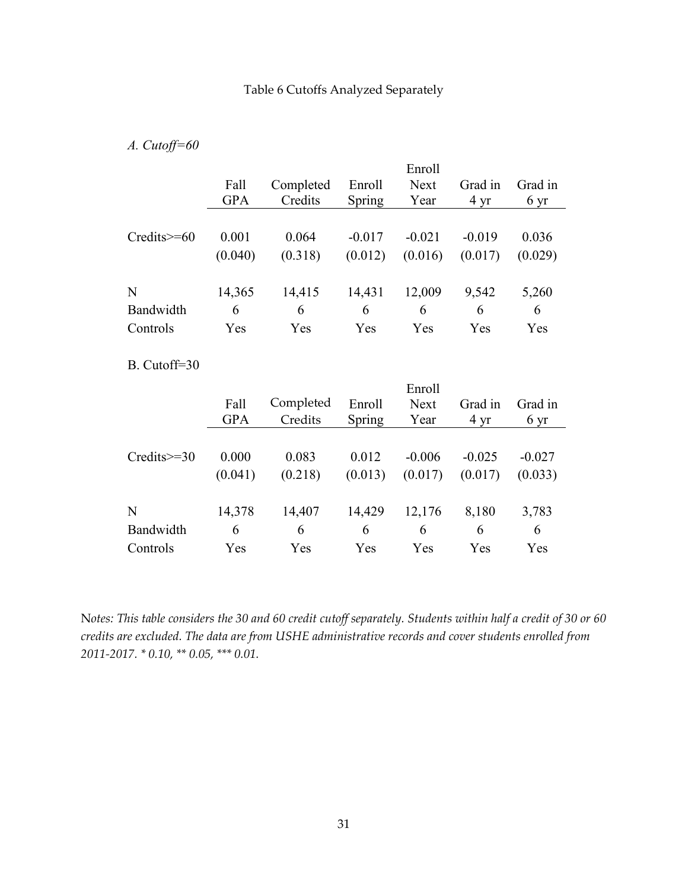# *A. Cutoff=60*

|                   |            |           |          | Enroll      |                |         |
|-------------------|------------|-----------|----------|-------------|----------------|---------|
|                   | Fall       | Completed | Enroll   | <b>Next</b> | Grad in        | Grad in |
|                   | <b>GPA</b> | Credits   | Spring   | Year        | $4 \text{ yr}$ | 6 yr    |
|                   |            |           |          |             |                |         |
| $Credits \geq 60$ | 0.001      | 0.064     | $-0.017$ | $-0.021$    | $-0.019$       | 0.036   |
|                   | (0.040)    | (0.318)   | (0.012)  | (0.016)     | (0.017)        | (0.029) |
|                   |            |           |          |             |                |         |
| N                 | 14,365     | 14,415    | 14,431   | 12,009      | 9,542          | 5,260   |
| Bandwidth         | 6          | 6         | 6        | 6           | 6              | 6       |
| Controls          | Yes        | Yes       | Yes      | Yes         | Yes            | Yes     |

# B. Cutoff=30

|                   | Fall<br><b>GPA</b> | Completed<br>Credits | Enroll<br>Spring | Enroll<br><b>Next</b><br>Year | Grad in<br>$4 \text{ yr}$ | Grad in<br>6 yr |
|-------------------|--------------------|----------------------|------------------|-------------------------------|---------------------------|-----------------|
| $Credits \geq 30$ | 0.000              | 0.083                | 0.012            | $-0.006$                      | $-0.025$                  | $-0.027$        |
|                   | (0.041)            | (0.218)              | (0.013)          | (0.017)                       | (0.017)                   | (0.033)         |
| N                 | 14,378             | 14,407               | 14,429           | 12,176                        | 8,180                     | 3,783           |
| Bandwidth         | 6                  | 6                    | 6                | 6                             | 6                         | 6               |
| Controls          | Yes                | Yes                  | Yes              | Yes                           | Yes                       | Yes             |

N*otes: This table considers the 30 and 60 credit cutoff separately. Students within half a credit of 30 or 60 credits are excluded. The data are from USHE administrative records and cover students enrolled from 2011-2017. \* 0.10, \*\* 0.05, \*\*\* 0.01.*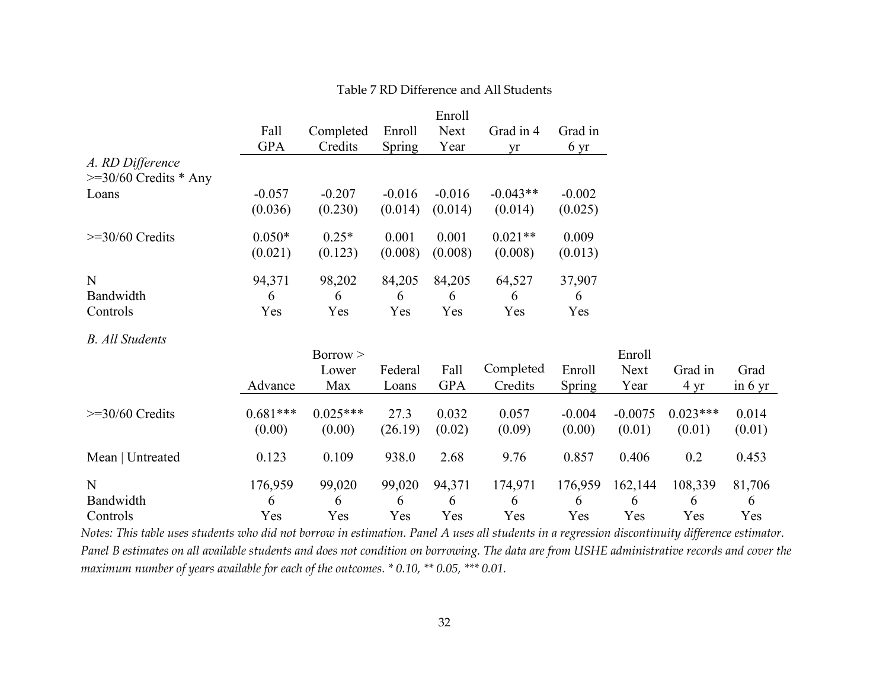| Table 7 RD Difference and All Students |  |  |
|----------------------------------------|--|--|
|----------------------------------------|--|--|

|                            |            |            |          | Enroll     |            |          |           |                |                   |
|----------------------------|------------|------------|----------|------------|------------|----------|-----------|----------------|-------------------|
|                            | Fall       | Completed  | Enroll   | Next       | Grad in 4  | Grad in  |           |                |                   |
|                            | <b>GPA</b> | Credits    | Spring   | Year       | yr         | 6 yr     |           |                |                   |
| A. RD Difference           |            |            |          |            |            |          |           |                |                   |
| $\geq$ 30/60 Credits * Any |            |            |          |            |            |          |           |                |                   |
| Loans                      | $-0.057$   | $-0.207$   | $-0.016$ | $-0.016$   | $-0.043**$ | $-0.002$ |           |                |                   |
|                            | (0.036)    | (0.230)    | (0.014)  | (0.014)    | (0.014)    | (0.025)  |           |                |                   |
| $>=$ 30/60 Credits         | $0.050*$   | $0.25*$    | 0.001    | 0.001      | $0.021**$  | 0.009    |           |                |                   |
|                            | (0.021)    | (0.123)    | (0.008)  | (0.008)    | (0.008)    | (0.013)  |           |                |                   |
| N                          | 94,371     | 98,202     | 84,205   | 84,205     | 64,527     | 37,907   |           |                |                   |
| Bandwidth                  | 6          | 6          | 6        | 6          | 6          | 6        |           |                |                   |
| Controls                   | Yes        | Yes        | Yes      | Yes        | Yes        | Yes      |           |                |                   |
| <b>B.</b> All Students     |            |            |          |            |            |          |           |                |                   |
|                            |            | Borrow >   |          |            |            |          | Enroll    |                |                   |
|                            |            | Lower      | Federal  | Fall       | Completed  | Enroll   | Next      | Grad in        | Grad              |
|                            | Advance    | Max        | Loans    | <b>GPA</b> | Credits    | Spring   | Year      | $4 \text{ yr}$ | in $6 \text{ yr}$ |
| $>=$ 30/60 Credits         | $0.681***$ | $0.025***$ | 27.3     | 0.032      | 0.057      | $-0.004$ | $-0.0075$ | $0.023***$     | 0.014             |
|                            | (0.00)     | (0.00)     | (26.19)  | (0.02)     | (0.09)     | (0.00)   | (0.01)    | (0.01)         | (0.01)            |
| Mean   Untreated           | 0.123      | 0.109      | 938.0    | 2.68       | 9.76       | 0.857    | 0.406     | 0.2            | 0.453             |
|                            |            |            |          |            |            |          |           |                |                   |
| N                          | 176,959    | 99,020     | 99,020   | 94,371     | 174,971    | 176,959  | 162,144   | 108,339        | 81,706            |
| Bandwidth                  | 6          | 6          | 6        | 6          | 6          | 6        | 6         | 6              | 6                 |
| Controls                   | Yes        | Yes        | Yes      | Yes        | Yes        | Yes      | Yes       | Yes            | Yes               |

*Notes: This table uses students who did not borrow in estimation. Panel A uses all students in a regression discontinuity difference estimator. Panel B estimates on all available students and does not condition on borrowing. The data are from USHE administrative records and cover the maximum number of years available for each of the outcomes. \* 0.10, \*\* 0.05, \*\*\* 0.01.*